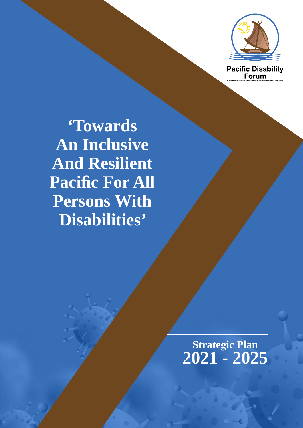

**Pacific Disability**<br>Forum

**'Towards An Inclusive And Resilient Pacific For All Persons With Disabilities'**

> **Strategic Plan 2021 - 2025**

**2. ȉ7RZDUGV\$Q,QFOXVLYH\$QG5HVLOLHQW3DFLʏF)RU\$OO3HUVRQV:LWK'LVDELOLWLHVȊ\_6WUDWHJLF3ODQȅ**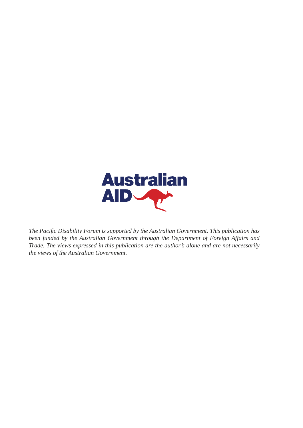

The Pacific Disability Forum is supported by the Australian Government. This publication has been funded by the Australian Government through the Department of Foreign Affairs and *Trade. The views expressed in this publication are the author's alone and are not necessarily* the views of the Australian Government.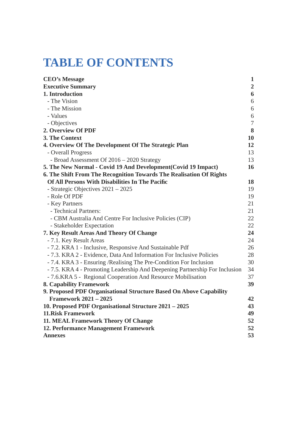# **7ABLE OF CONTENTS**

| <b>CEO's Message</b>                                                        | $\mathbf{1}$   |
|-----------------------------------------------------------------------------|----------------|
| <b>Executive Summary</b>                                                    | $\overline{2}$ |
| 1. Introduction                                                             | $6\phantom{1}$ |
| - The Vision                                                                | 6              |
| - The Mission                                                               | 6              |
| - Values                                                                    | $6\,$          |
| - Objectives                                                                | 7              |
| 2. Overview Of PDF                                                          | 8              |
| <b>3. The Context</b>                                                       | 10             |
| 4. Overview Of The Development Of The Strategic Plan                        | 12             |
| - Overall Progress                                                          | 13             |
| - Broad Assessment Of 2016 - 2020 Strategy                                  | 13             |
| 5. The New Normal - Covid 19 And Development (Covid 19 Impact)              | 16             |
| 6. The Shift From The Recognition Towards The Realisation Of Rights         |                |
| Of All Persons With Disabilities In The Pacific                             | 18             |
| - Strategic Objectives 2021 - 2025                                          | 19             |
| - Role Of PDF                                                               | 19             |
| - Key Partners                                                              | 21             |
| - Technical Partners:                                                       | 21             |
| - CBM Australia And Centre For Inclusive Policies (CIP)                     | 22             |
| - Stakeholder Expectation                                                   | 22             |
| 7. Key Result Areas And Theory Of Change                                    | 24             |
| - 7.1. Key Result Areas                                                     | 24             |
| - 7.2. KRA 1 - Inclusive, Responsive And Sustainable Pdf                    | 26             |
| - 7.3. KRA 2 - Evidence, Data And Information For Inclusive Policies        | 28             |
| - 7.4. KRA 3 - Ensuring / Realising The Pre-Condition For Inclusion         | 30             |
| - 7.5. KRA 4 - Promoting Leadership And Deepening Partnership For Inclusion | 34             |
| - 7.6.KRA 5 - Regional Cooperation And Resource Mobilisation                | 37             |
| <b>8. Capability Framework</b>                                              | 39             |
| 9. Proposed PDF Organisational Structure Based On Above Capability          |                |
| <b>Framework 2021 – 2025</b>                                                | 42             |
| 10. Proposed PDF Organisational Structure 2021 - 2025                       | 43             |
| <b>11.Risk Framework</b>                                                    | 49             |
| 11. MEAL Framework Theory Of Change                                         | 52             |
| 12. Performance Management Framework                                        | 52             |
| <b>Annexes</b>                                                              | 53             |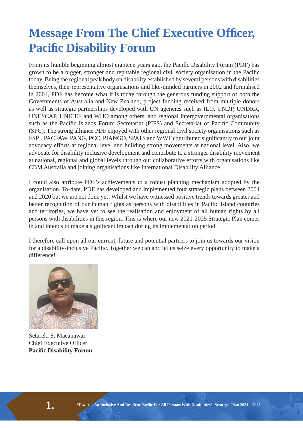# **Message From The Chief Executive Officer, Pacific Disability Forum**

From its humble beginning almost eighteen years ago, the Pacific Disability Forum (PDF) has grown to be a bigger, stronger and reputable regional civil society organisation in the Pacific today. Being the regional peak body on disability established by several persons with disabilities themselves, their representative organisations and like-minded partners in 2002 and formalised in 2004, PDF has become what it is today through the generous funding support of both the Governments of Australia and New Zealand, project funding received from multiple donors as well as strategic partnerships developed with UN agencies such as ILO, UNDP, UNDRR, UNESCAP, UNICEF and WHO among others, and regional intergovernmental organisations such as the Pacific Islands Forum Secretariat (PIFS) and Secretariat of Pacific Community (SPC). The strong alliance PDF enjoyed with other regional civil society organisations such as FSPI, PACFAW, PANG, PCC, PIANGO, SPATS and WWF contributed significantly to our joint advocacy efforts at regional level and building strong movements at national level. Also, we advocate for disability inclusive development and contribute to a stronger disability movement at national, regional and global levels through our collaborative efforts with organisations like CBM Australia and joining organisations like International Disability Alliance.

I could also attribute PDF's achievements to a robust planning mechanism adopted by the organisation. To-date, PDF has developed and implemented four strategic plans between 2004 and 2020 but we are not done yet! Whilst we have witnessed positive trends towards greater and better recognition of our human rights as persons with disabilities in Pacific Island countries and territories, we have yet to see the realisation and enjoyment of all human rights by all persons with disabilities in this region. This is where our new 2021-2025 Strategic Plan comes in and intends to make a significant impact during its implementation period.

I therefore call upon all our current, future and potential partners to join us towards our vision for a disability-inclusive Pacific. Together we can and let us seize every opportunity to make a difference!



Setareki S. Macanawai Chief Executive Officer **Pacific Disability Forum**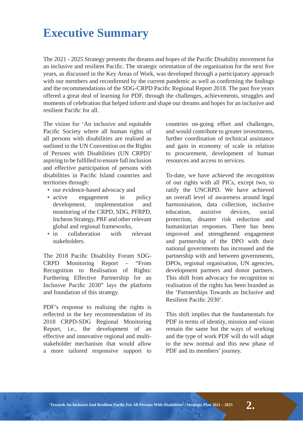## **Executive Summary**

The 2021 - 2025 Strategy presents the dreams and hopes of the Pacific Disability movement for an inclusive and resilient Pacific. The strategic orientation of the organisation for the next five years, as discussed in the Key Areas of Work, was developed through a participatory approach with our members and reconfirmed by the current pandemic as well as confirming the findings and the recommendations of the SDG-CRPD Pacific Regional Report 2018. The past five years offered a great deal of learning for PDF, through the challenges, achievements, struggles and moments of celebration that helped inform and shape our dreams and hopes for an inclusive and resilient Pacific for all

The vision for 'An inclusive and equitable Pacific Society where all human rights of all persons with disabilities are realised as outlined in the UN Convention on the Rights of Persons with Disabilities (UN CRPD)' aspiring to be fulfilled to ensure full inclusion and effective participation of persons with disabilities in Pacific Island countries and territories through:

- our evidence-based advocacy and
- active engagement in policy development, implementation and monitoring of the CRPD, SDG, PFRPD, Incheon Strategy, PRF and other relevant global and regional frameworks,
- in collaboration with relevant stakeholders.

The 2018 Pacific Disability Forum SDG-CRPD Monitoring Report – "From Recognition to Realisation of Rights: Furthering Effective Partnership for an Inclusive Pacific 2030" lays the platform and foundation of this strategy.

PDF's response to realising the rights is reflected in the key recommendation of its 2018 CRPD-SDG Regional Monitoring Report, i.e., the development of an effective and innovative regional and multistakeholder mechanism that would allow a more tailored responsive support to countries on-going effort and challenges, and would contribute to greater investments, further coordination of technical assistance and gain in economy of scale in relation to procurement, development of human resources and access to services.

To-date, we have achieved the recognition of our rights with all PICs, except two, to ratify the UNCRPD. We have achieved an overall level of awareness around legal harmonisation, data collection, inclusive education, assistive devices, social protection, disaster risk reduction and humanitarian responses. There has been improved and strengthened engagement and partnership of the DPO with their national governments has increased and the partnership with and between governments, DPOs, regional organisation, UN agencies, development partners and donor partners. This shift from advocacy for recognition to realisation of the rights has been branded as the 'Partnerships Towards an Inclusive and Resilient Pacific 2030'.

This shift implies that the fundamentals for PDF in terms of identity, mission and vision remain the same but the ways of working and the type of work PDF will do will adapt to the new normal and this new phase of PDF and its members' journey.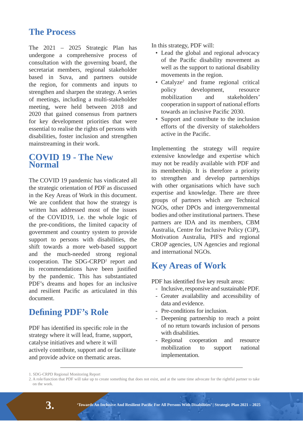### **The Process**

The 2021 – 2025 Strategic Plan has undergone a comprehensive process of consultation with the governing board, the secretariat members, regional stakeholder based in Suva, and partners outside the region, for comments and inputs to strengthen and sharpen the strategy. A series of meetings, including a multi-stakeholder meeting, were held between 2018 and 2020 that gained consensus from partners for key development priorities that were essential to realise the rights of persons with disabilities, foster inclusion and strengthen mainstreaming in their work.

### **COVID 19 - The New Normal**

The COVID 19 pandemic has vindicated all the strategic orientation of PDF as discussed in the Key Areas of Work in this document. We are confident that how the strategy is written has addressed most of the issues of the COVID19, i.e. the whole logic of the pre-conditions, the limited capacity of government and country system to provide support to persons with disabilities, the shift towards a more web-based support and the much-needed strong regional cooperation. The  $SDG-CRPD<sup>1</sup>$  report and its recommendations have been justified by the pandemic. This has substantiated PDF's dreams and hopes for an inclusive and resilient Pacific as articulated in this document.

### **Defining PDF's Role**

PDF has identified its specific role in the strategy where it will lead, frame, support, catalyse initiatives and where it will actively contribute, support and or facilitate and provide advice on thematic areas.

In this strategy, PDF will:

- Lead the global and regional advocacy of the Pacific disability movement as well as the support to national disability movements in the region.
- Catalyze<sup>2</sup> and frame regional critical policy development, resource mobilization and stakeholders' cooperation in support of national efforts towards an inclusive Pacific 2030.
- Support and contribute to the inclusion efforts of the diversity of stakeholders active in the Pacific.

Implementing the strategy will require extensive knowledge and expertise which may not be readily available with PDF and its membership. It is therefore a priority to strengthen and develop partnerships with other organisations which have such expertise and knowledge. There are three groups of partners which are Technical NGOs, other DPOs and intergovernmental bodies and other institutional partners. These partners are IDA and its members, CBM Australia, Centre for Inclusive Policy (CiP), Motivation Australia, PIFS and regional CROP agencies, UN Agencies and regional and international NGOs.

### **Key Areas of Work**

PDF has identified five key result areas:

- Inclusive, responsive and sustainable PDF.
- Greater availability and accessibility of data and evidence.
- Pre-conditions for inclusion.
- Deepening partnership to reach a point of no return towards inclusion of persons with disabilities.
- Regional cooperation and resource mobilization to support national implementation.

<sup>1.</sup> SDG-CRPD Regional Monitoring Report

<sup>2.</sup> A role/function that PDF will take up to create something that does not exist, and at the same time advocate for the rightful partner to take on the work.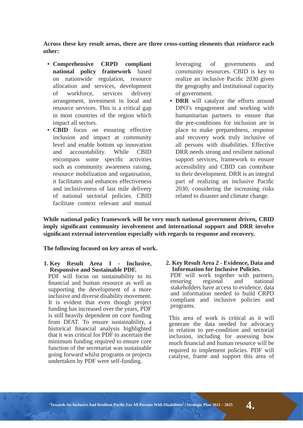Across these key result areas, there are three cross-cutting elements that reinforce each **other:** 

- Comprehensive **CRPD** compliant **national policy framework** based on nationwide regulation, resource allocation and services, development of workforce, services delivery arrangement, investment in local and resource services. This is a critical gap in most countries of the region which impact all sectors.
- CBID focus on ensuring effective inclusion and impact at community level and enable bottom up innovation and accountability. While CBID encompass some specific activities such as community awareness raising, resource mobilization and organisation, it facilitates and enhances effectiveness and inclusiveness of last mile delivery of national sectorial policies. CBID facilitate context relevant and mutual

leveraging of governments and community resources. CBID is key to realize an inclusive Pacific 2030 given the geography and institutional capacity of government.

• DRR will catalyze the efforts around DPO's engagement and working with humanitarian partners to ensure that the pre-conditions for inclusion are in place to make preparedness, response and recovery work truly inclusive of all persons with disabilities. Effective DRR needs strong and resilient national support services, framework to ensure accessibility and CBID can contribute to their development. DRR is an integral part of realizing an inclusive Pacific 2030, considering the increasing risks related to disaster and climate change.

While national policy framework will be very much national government driven, CBID imply significant community involvement and international support and DRR involve significant external intervention especially with regards to response and recovery.

The following focused on key areas of work.

**1. Key Result Area 1 - Inclusive, Responsive and Sustainable PDF.** 

 PDF will focus on sustainability to its financial and human resource as well as supporting the development of a more inclusive and diverse disability movement. It is evident that even though project funding has increased over the years, PDF is still heavily dependent on core funding from DFAT. To ensure sustainability, a historical financial analysis highlighted that it was critical for PDF to ascertain the minimum funding required to ensure core function of the secretariat was sustainable going forward whilst programs or projects undertaken by PDF were self-funding.

2. Key Result Area 2 - Evidence, Data and **Information for Inclusive Policies.**

PDF will work together with partners,<br>ensuring regional and national ensuring regional and national stakeholders have access to evidence, data and information needed to build CRPD compliant and inclusive policies and programs.

 This area of work is critical as it will generate the data needed for advocacy in relation to pre-condition and sectorial inclusion, including for assessing how much financial and human resource will be required to implement policies. PDF will catalyse, frame and support this area of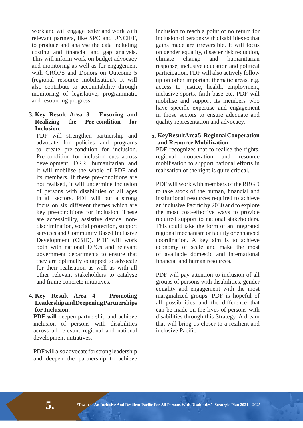work and will engage better and work with relevant partners, like SPC and UNCIEF, to produce and analyse the data including costing and financial and gap analysis. This will inform work on budget advocacy and monitoring as well as for engagement with CROPS and Donors on Outcome 5 (regional resource mobilisation). It will also contribute to accountability through monitoring of legislative, programmatic and resourcing progress.

#### **3. Key Result Area 3 - Ensuring and Realizing the Pre-condition for Inclusion.**

 PDF will strengthen partnership and advocate for policies and programs to create pre-condition for inclusion. Pre-condition for inclusion cuts across development, DRR, humanitarian and it will mobilise the whole of PDF and its members. If these pre-conditions are not realised, it will undermine inclusion of persons with disabilities of all ages in all sectors. PDF will put a strong focus on six different themes which are key pre-conditions for inclusion. These are accessibility, assistive device, nondiscrimination, social protection, support services and Community Based Inclusive Development (CBID). PDF will work both with national DPOs and relevant government departments to ensure that they are optimally equipped to advocate for their realisation as well as with all other relevant stakeholders to catalyse and frame concrete initiatives.

#### **4. Key Result Area 4 - Promoting Leadership and Deepening Partnerships for Inclusion.**

**PDF** will deepen partnership and achieve inclusion of persons with disabilities across all relevant regional and national development initiatives.

 PDF will also advocate for strong leadership and deepen the partnership to achieve

inclusion to reach a point of no return for inclusion of persons with disabilities so that gains made are irreversible. It will focus on gender equality, disaster risk reduction, climate change and humanitarian response, inclusive education and political participation. PDF will also actively follow up on other important thematic areas, e.g. access to justice, health, employment, inclusive sports, faith base etc. PDF will mobilise and support its members who have specific expertise and engagement in those sectors to ensure adequate and quality representation and advocacy.

#### **5. KeyResultArea5-RegionalCooperation** and Resource Mobilization

PDF recognizes that to realise the rights. regional cooperation and resource mobilisation to support national efforts in realisation of the right is quite critical.

 PDF will work with members of the RRGD to take stock of the human, financial and institutional resources required to achieve an inclusive Pacific by 2030 and to explore the most cost-effective ways to provide required support to national stakeholders. This could take the form of an integrated regional mechanism or facility or enhanced coordination. A key aim is to achieve economy of scale and make the most of available domestic and international financial and human resources.

 PDF will pay attention to inclusion of all groups of persons with disabilities, gender equality and engagement with the most marginalized groups. PDF is hopeful of all possibilities and the difference that can be made on the lives of persons with disabilities through this Strategy. A dream that will bring us closer to a resilient and inclusive Pacific.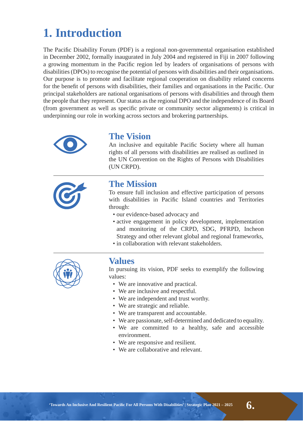## **1. Introduction**

The Pacific Disability Forum (PDF) is a regional non-governmental organisation established in December 2002, formally inaugurated in July 2004 and registered in Fiji in 2007 following a growing momentum in the Pacific region led by leaders of organisations of persons with disabilities (DPOs) to recognise the potential of persons with disabilities and their organisations. Our purpose is to promote and facilitate regional cooperation on disability related concerns for the benefit of persons with disabilities, their families and organisations in the Pacific. Our principal stakeholders are national organisations of persons with disabilities and through them the people that they represent. Our status as the regional DPO and the independence of its Board (from government as well as specific private or community sector alignments) is critical in underpinning our role in working across sectors and brokering partnerships.



### **The Vision**

An inclusive and equitable Pacific Society where all human rights of all persons with disabilities are realised as outlined in the UN Convention on the Rights of Persons with Disabilities (UN CRPD).



### **The Mission**

To ensure full inclusion and effective participation of persons with disabilities in Pacific Island countries and Territories through:

- our evidence-based advocacy and
- active engagement in policy development, implementation and monitoring of the CRPD, SDG, PFRPD, Incheon Strategy and other relevant global and regional frameworks,
- in collaboration with relevant stakeholders.



### **Values**

In pursuing its vision, PDF seeks to exemplify the following values:

- We are innovative and practical.
- We are inclusive and respectful.
- We are independent and trust worthy.
- We are strategic and reliable.
- We are transparent and accountable.
- We are passionate, self-determined and dedicated to equality.
- We are committed to a healthy, safe and accessible environment.
- We are responsive and resilient.
- We are collaborative and relevant.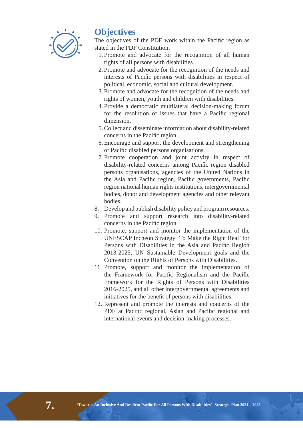

### **Objectives**

The objectives of the PDF work within the Pacific region as stated in the PDF Constitution:

- 1. Promote and advocate for the recognition of all human rights of all persons with disabilities.
- 2. Promote and advocate for the recognition of the needs and interests of Pacific persons with disabilities in respect of political, economic, social and cultural development.
- 3. Promote and advocate for the recognition of the needs and rights of women, youth and children with disabilities.
- 4. Provide a democratic multilateral decision-making forum for the resolution of issues that have a Pacific regional dimension.
- 5. Collect and disseminate information about disability-related concerns in the Pacific region.
- 6. Encourage and support the development and strengthening of Pacific disabled persons organisations.
- 7. Promote cooperation and joint activity in respect of disability-related concerns among Pacific region disabled persons organisations, agencies of the United Nations in the Asia and Pacific region, Pacific governments, Pacific region national human rights institutions, intergovernmental bodies, donor and development agencies and other relevant bodies.
- 8. Develop and publish disability policy and program resources.
- 9. Promote and support research into disability-related concerns in the Pacific region.
- 10. Promote, support and monitor the implementation of the UNESCAP Incheon Strategy 'To Make the Right Real' for Persons with Disabilities in the Asia and Pacific Region 2013-2025, UN Sustainable Development goals and the Convention on the Rights of Persons with Disabilities.
- 11. Promote, support and monitor the implementation of the Framework for Pacific Regionalism and the Pacific Framework for the Rights of Persons with Disabilities 2016-2025, and all other intergovernmental agreements and initiatives for the benefit of persons with disabilities.
- 12. Represent and promote the interests and concerns of the PDF at Pacific regional, Asian and Pacific regional and international events and decision-making processes.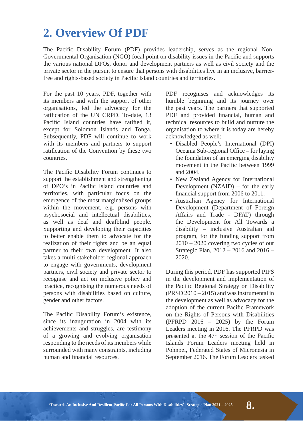## **2. Overview Of PDF**

The Pacific Disability Forum (PDF) provides leadership, serves as the regional Non-Governmental Organisation (NGO) focal point on disability issues in the Pacific and supports the various national DPOs, donor and development partners as well as civil society and the private sector in the pursuit to ensure that persons with disabilities live in an inclusive, barrierfree and rights-based society in Pacific Island countries and territories.

For the past 10 years, PDF, together with its members and with the support of other organisations, led the advocacy for the ratification of the UN CRPD. To-date, 13 Pacific Island countries have ratified it, except for Solomon Islands and Tonga. Subsequently, PDF will continue to work with its members and partners to support ratification of the Convention by these two countries.

The Pacific Disability Forum continues to support the establishment and strengthening of DPO's in Pacific Island countries and territories, with particular focus on the emergence of the most marginalised groups within the movement, e.g. persons with psychosocial and intellectual disabilities, as well as deaf and deafblind people. Supporting and developing their capacities to better enable them to advocate for the realization of their rights and be an equal partner to their own development. It also takes a multi-stakeholder regional approach to engage with governments, development partners, civil society and private sector to recognise and act on inclusive policy and practice, recognising the numerous needs of persons with disabilities based on culture, gender and other factors.

The Pacific Disability Forum's existence, since its inauguration in 2004 with its achievements and struggles, are testimony of a growing and evolving organisation responding to the needs of its members while surrounded with many constraints, including human and financial resources

PDF recognises and acknowledges its humble beginning and its journey over the past years. The partners that supported PDF and provided financial, human and technical resources to build and nurture the organisation to where it is today are hereby acknowledged as well:

- Disabled People's International (DPI) Oceania Sub-regional Office – for laying the foundation of an emerging disability movement in the Pacific between 1999 and 2004.
- New Zealand Agency for International Development (NZAID) – for the early financial support from 2006 to 2011.
- Australian Agency for International Development (Department of Foreign Affairs and Trade - DFAT) through the Development for All Towards a disability – inclusive Australian aid program, for the funding support from 2010 – 2020 covering two cycles of our Strategic Plan, 2012 – 2016 and 2016 – 2020.

During this period, PDF has supported PIFS in the development and implementation of the Pacific Regional Strategy on Disability (PRSD 2010 – 2015) and was instrumental in the development as well as advocacy for the adoption of the current Pacific Framework on the Rights of Persons with Disabilities (PFRPD 2016 – 2025) by the Forum Leaders meeting in 2016. The PFRPD was presented at the  $47<sup>th</sup>$  session of the Pacific Islands Forum Leaders meeting held in Pohnpei, Federated States of Micronesia in September 2016. The Forum Leaders tasked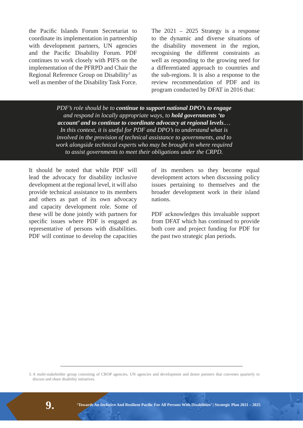the Pacific Islands Forum Secretariat to coordinate its implementation in partnership with development partners, UN agencies and the Pacific Disability Forum. PDF continues to work closely with PIFS on the implementation of the PFRPD and Chair the Regional Reference Group on Disability<sup>3</sup> as well as member of the Disability Task Force.

The  $2021 - 2025$  Strategy is a response to the dynamic and diverse situations of the disability movement in the region, recognising the different constraints as well as responding to the growing need for a differentiated approach to countries and the sub-regions. It is also a response to the review recommendation of PDF and its program conducted by DFAT in 2016 that:

*PDF's role should be to continue to support national DPO's to engage* and respond in locally appropriate ways, to **hold governments 'to** *account'* and to continue to coordinate advocacy at regional levels.... In this context, it is useful for PDF and DPO's to understand what is *involved in the provision of technical assistance to governments, and to* work alongside technical experts who may be brought in where required to assist governments to meet their obligations under the CRPD.

It should be noted that while PDF will lead the advocacy for disability inclusive development at the regional level, it will also provide technical assistance to its members and others as part of its own advocacy and capacity development role. Some of these will be done jointly with partners for specific issues where PDF is engaged as representative of persons with disabilities. PDF will continue to develop the capacities of its members so they become equal development actors when discussing policy issues pertaining to themselves and the broader development work in their island nations.

PDF acknowledges this invaluable support from DFAT which has continued to provide both core and project funding for PDF for the past two strategic plan periods.

3. A multi-stakeholder group consisting of CROP agencies, UN agencies and development and donor partners that convenes quarterly to discuss and share disability initiatives.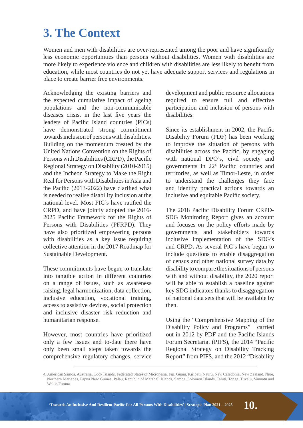## *3.* **The Context**

Women and men with disabilities are over-represented among the poor and have significantly less economic opportunities than persons without disabilities. Women with disabilities are more likely to experience violence and children with disabilities are less likely to benefit from education, while most countries do not yet have adequate support services and regulations in place to create barrier free environments.

Acknowledging the existing barriers and the expected cumulative impact of ageing populations and the non-communicable diseases crisis, in the last five years the leaders of Pacific Island countries (PICs) have demonstrated strong commitment towards inclusion of persons with disabilities. Building on the momentum created by the United Nations Convention on the Rights of Persons with Disabilities (CRPD), the Pacific Regional Strategy on Disability (2010-2015) and the Incheon Strategy to Make the Right Real for Persons with Disabilities in Asia and the Pacific (2013-2022) have clarified what is needed to realise disability inclusion at the national level. Most PIC's have ratified the CRPD, and have jointly adopted the 2016- 2025 Pacific Framework for the Rights of Persons with Disabilities (PFRPD). They have also prioritized empowering persons with disabilities as a key issue requiring collective attention in the 2017 Roadmap for Sustainable Development.

These commitments have begun to translate into tangible action in different countries on a range of issues, such as awareness raising, legal harmonization, data collection, inclusive education, vocational training, access to assistive devices, social protection and inclusive disaster risk reduction and humanitarian response.

However, most countries have prioritized only a few issues and to-date there have only been small steps taken towards the comprehensive regulatory changes, service

development and public resource allocations required to ensure full and effective participation and inclusion of persons with disabilities.

Since its establishment in 2002, the Pacific Disability Forum (PDF) has been working to improve the situation of persons with disabilities across the Pacific, by engaging with national DPO's, civil society and governments in 22<sup>4</sup> Pacific countries and territories, as well as Timor-Leste, in order to understand the challenges they face and identify practical actions towards an inclusive and equitable Pacific society.

The 2018 Pacific Disability Forum CRPD-SDG Monitoring Report gives an account and focuses on the policy efforts made by governments and stakeholders towards inclusive implementation of the SDG's and CRPD. As several PiC's have begun to include questions to enable disaggregation of census and other national survey data by disability to compare the situations of persons with and without disability, the 2020 report will be able to establish a baseline against key SDG indicators thanks to disaggregation of national data sets that will be available by then.

Using the "Comprehensive Mapping of the Disability Policy and Programs" carried out in 2012 by PDF and the Pacific Islands Forum Secretariat (PIFS), the 2014 "Pacific Regional Strategy on Disability Tracking Report" from PIFS, and the 2012 "Disability



<sup>4.</sup> American Samoa, Australia, Cook Islands, Federated States of Micronesia, Fiji, Guam, Kiribati, Nauru, New Caledonia, New Zealand, Niue, Northern Marianas, Papua New Guinea, Palau, Republic of Marshall Islands, Samoa, Solomon Islands, Tahiti, Tonga, Tuvalu, Vanuatu and Wallis/Futuna.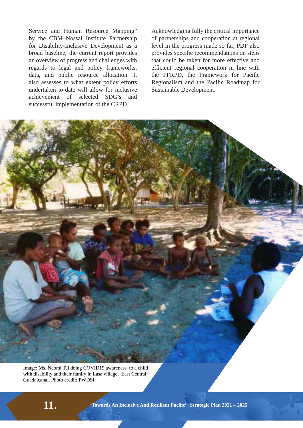Service and Human Resource Mapping" by the CBM–Nossal Institute Partnership for Disability-Inclusive Development as a broad baseline, the current report provides an overview of progress and challenges with regards to legal and policy frameworks, data, and public resource allocation. It also assesses to what extent policy efforts undertaken to-date will allow for inclusive achievement of selected SDG's and successful implementation of the CRPD.

Acknowledging fully the critical importance of partnerships and cooperation at regional level in the progress made so far, PDF also provides specific recommendations on steps that could be taken for more effective and efficient regional cooperation in line with the PFRPD, the Framework for Pacific Regionalism and the Pacific Roadmap for Sustainable Development.

Image: Ms. Naomi Tai doing COVID19 awareness to a child with disability and their family in Lasa village, East Central Guadalcanal. Photo credit: PWDSI.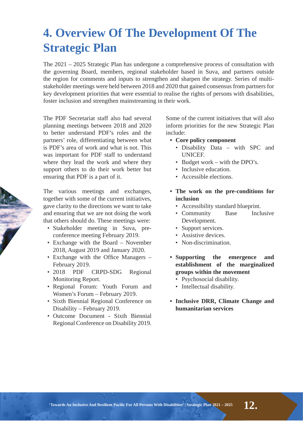# **4. Overview Of The Development Of The Strategic Plan**

The 2021 – 2025 Strategic Plan has undergone a comprehensive process of consultation with the governing Board, members, regional stakeholder based in Suva, and partners outside the region for comments and inputs to strengthen and sharpen the strategy. Series of multistakeholder meetings were held between 2018 and 2020 that gained consensus from partners for key development priorities that were essential to realise the rights of persons with disabilities, foster inclusion and strengthen mainstreaming in their work.

The PDF Secretariat staff also had several planning meetings between 2018 and 2020 to better understand PDF's roles and the partners' role, differentiating between what is PDF's area of work and what is not. This was important for PDF staff to understand where they lead the work and where they support others to do their work better but ensuring that PDF is a part of it.

The various meetings and exchanges, together with some of the current initiatives, gave clarity to the directions we want to take and ensuring that we are not doing the work that others should do. These meetings were:

- Stakeholder meeting in Suva, preconference meeting February 2019.
- Exchange with the Board November 2018, August 2019 and January 2020.
- Exchange with the Office Managers  $-$ February 2019.
- 2018 PDF CRPD-SDG Regional Monitoring Report.
- Regional Forum: Youth Forum and Women's Forum – February 2019.
- Sixth Biennial Regional Conference on Disability – February 2019.
- Outcome Document Sixth Biennial Regional Conference on Disability 2019.

Some of the current initiatives that will also inform priorities for the new Strategic Plan include:

- Core policy component
	- Disability Data with SPC and UNICEF.
	- Budget work with the DPO's.
	- Inclusive education.
	- Accessible elections.
- The work on the pre-conditions for **inclusion** 
	- Accessibility standard blueprint.
	- Community Base Inclusive Development.
	- Support services.
	- Assistive devices.
	- Non-discrimination.
- **Supporting the emergence and establishment of the marginalized groups within the movement**
	- Psychosocial disability.
	- Intellectual disability.
- **Inclusive DRR, Climate Change and humanitarian services**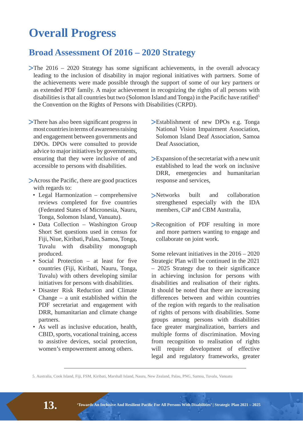## **Overall Progress**

### **Broad Assessment Of 2016 - 2020 Strategy**

 $\blacktriangleright$ The 2016 – 2020 Strategy has some significant achievements, in the overall advocacy leading to the inclusion of disability in major regional initiatives with partners. Some of the achievements were made possible through the support of some of our key partners or as extended PDF family. A major achievement in recognizing the rights of all persons with disabilities is that all countries but two (Solomon Island and Tonga) in the Pacific have ratified<sup>5</sup> the Convention on the Rights of Persons with Disabilities (CRPD).

- $\triangleright$ There has also been significant progress in most countries in terms of awareness raising and engagement between governments and DPOs. DPOs were consulted to provide advice to major initiatives by governments, ensuring that they were inclusive of and accessible to persons with disabilities.
- >Across the Pacific, there are good practices with regards to:
	- Legal Harmonization comprehensive reviews completed for five countries (Federated States of Micronesia, Nauru, Tonga, Solomon Island, Vanuatu).
	- Data Collection Washington Group Short Set questions used in census for Fiji, Niue, Kiribati, Palau, Samoa, Tonga, Tuvalu with disability monograph produced.
	- Social Protection  $-$  at least for five countries (Fiji, Kiribati, Nauru, Tonga, Tuvalu) with others developing similar initiatives for persons with disabilities.
	- Disaster Risk Reduction and Climate Change – a unit established within the PDF secretariat and engagement with DRR, humanitarian and climate change partners.
	- As well as inclusive education, health, CBID, sports, vocational training, access to assistive devices, social protection, women's empowerment among others.
- Establishment of new DPOs e.g. Tonga National Vision Impairment Association, Solomon Island Deaf Association, Samoa Deaf Association,
- Expansion of the secretariat with a new unit established to lead the work on inclusive DRR, emergencies and humanitarian response and services,
- Networks built and collaboration strengthened especially with the IDA members, CiP and CBM Australia,
- Recognition of PDF resulting in more and more partners wanting to engage and collaborate on joint work.

Some relevant initiatives in the 2016 – 2020 Strategic Plan will be continued in the 2021  $-$  2025 Strategy due to their significance in achieving inclusion for persons with disabilities and realisation of their rights. It should be noted that there are increasing differences between and within countries of the region with regards to the realisation of rights of persons with disabilities. Some groups among persons with disabilities face greater marginalization, barriers and multiple forms of discrimination. Moving from recognition to realisation of rights will require development of effective legal and regulatory frameworks, greater

<sup>5.</sup> Australia, Cook Island, Fiji, FSM, Kiribati, Marshall Island, Nauru, New Zealand, Palau, PNG, Samoa, Tuvalu, Vanuatu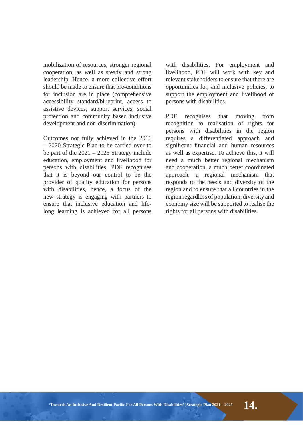mobilization of resources, stronger regional cooperation, as well as steady and strong leadership. Hence, a more collective effort should be made to ensure that pre-conditions for inclusion are in place (comprehensive accessibility standard/blueprint, access to assistive devices, support services, social protection and community based inclusive development and non-discrimination).

Outcomes not fully achieved in the 2016 – 2020 Strategic Plan to be carried over to be part of the 2021 – 2025 Strategy include education, employment and livelihood for persons with disabilities. PDF recognises that it is beyond our control to be the provider of quality education for persons with disabilities, hence, a focus of the new strategy is engaging with partners to ensure that inclusive education and lifelong learning is achieved for all persons with disabilities. For employment and livelihood, PDF will work with key and relevant stakeholders to ensure that there are opportunities for, and inclusive policies, to support the employment and livelihood of persons with disabilities.

PDF recognises that moving from recognition to realisation of rights for persons with disabilities in the region requires a differentiated approach and significant financial and human resources as well as expertise. To achieve this, it will need a much better regional mechanism and cooperation, a much better coordinated approach, a regional mechanism that responds to the needs and diversity of the region and to ensure that all countries in the region regardless of population, diversity and economy size will be supported to realise the rights for all persons with disabilities.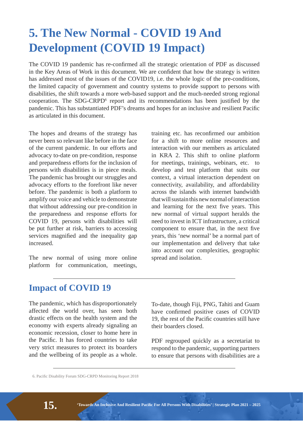# **5. The New Normal - COVID 19 And Development (COVID 19 Impact)**

The COVID 19 pandemic has re-confirmed all the strategic orientation of PDF as discussed in the Key Areas of Work in this document. We are confident that how the strategy is written has addressed most of the issues of the COVID19, i.e. the whole logic of the pre-conditions, the limited capacity of government and country systems to provide support to persons with disabilities, the shift towards a more web-based support and the much-needed strong regional cooperation. The SDG-CRPD $<sup>6</sup>$  report and its recommendations has been justified by the</sup> pandemic. This has substantiated PDF's dreams and hopes for an inclusive and resilient Pacific as articulated in this document.

The hopes and dreams of the strategy has never been so relevant like before in the face of the current pandemic. In our efforts and advocacy to-date on pre-condition, response and preparedness efforts for the inclusion of persons with disabilities is in piece meals. The pandemic has brought our struggles and advocacy efforts to the forefront like never before. The pandemic is both a platform to amplify our voice and vehicle to demonstrate that without addressing our pre-condition in the preparedness and response efforts for COVID 19, persons with disabilities will be put further at risk, barriers to accessing services magnified and the inequality gap increased.

The new normal of using more online platform for communication, meetings, training etc. has reconfirmed our ambition for a shift to more online resources and interaction with our members as articulated in KRA 2. This shift to online platform for meetings, trainings, webinars, etc. to develop and test platform that suits our context, a virtual interaction dependent on connectivity, availability, and affordability across the islands with internet bandwidth that will sustain this new normal of interaction and learning for the next five years. This new normal of virtual support heralds the need to invest in ICT infrastructure, a critical component to ensure that, in the next five years, this 'new normal' be a normal part of our implementation and delivery that take into account our complexities, geographic spread and isolation.

### **Impact of COVID 19**

The pandemic, which has disproportionately affected the world over, has seen both drastic effects on the health system and the economy with experts already signaling an economic recession, closer to home here in the Pacific. It has forced countries to take very strict measures to protect its boarders and the wellbeing of its people as a whole.

To-date, though Fiji, PNG, Tahiti and Guam have confirmed positive cases of COVID 19, the rest of the Pacific countries still have their boarders closed.

PDF regrouped quickly as a secretariat to respond to the pandemic, supporting partners to ensure that persons with disabilities are a

<sup>6.</sup> Pacific Disability Forum SDG-CRPD Monitoring Report 2018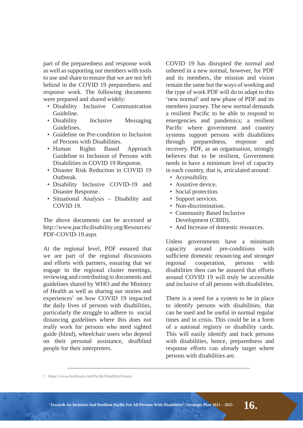part of the preparedness and response work as well as supporting our members with tools to use and share to ensure that we are not left behind in the COVID 19 preparedness and response work. The following documents were prepared and shared widely:

- Disability Inclusive Communication Guideline.
- Disability Inclusive Messaging Guidelines.
- Guideline on Pre-condition to Inclusion of Persons with Disabilities.
- Human Rights Based Approach Guideline to Inclusion of Persons with Disabilities in COVID 19 Response.
- Disaster Risk Reduction in COVID 19 Outbreak.
- Disability Inclusive COVID-19 and Disaster Response.
- Situational Analysis Disability and COVID 19.

The above documents can be accessed at http://www.pacificdisability.org/Resources/ PDF-COVID-19.aspx

At the regional level, PDF ensured that we are part of the regional discussions and efforts with partners, ensuring that we engage in the regional cluster meetings, reviewing and contributing to documents and guidelines shared by WHO and the Ministry of Health as well as sharing our stories and experiences<sup>7</sup> on how COVID 19 impacted the daily lives of persons with disabilities, particularly the struggle to adhere to social distancing guidelines where this does not really work for persons who need sighted guide (blind), wheelchair users who depend on their personal assistance, deafblind people for their interpreters.

COVID 19 has disrupted the normal and ushered in a new normal, however, for PDF and its members, the mission and vision remain the same but the ways of working and the type of work PDF will do to adapt to this 'new normal' and new phase of PDF and its members journey. The new normal demands a resilient Pacific to be able to respond to emergencies and pandemics; a resilient Pacific where government and country systems support persons with disabilities through preparedness, response and recovery. PDF, as an organisation, strongly believes that to be resilient, Government needs to have a minimum level of capacity in each country, that is, articulated around:

- Accessibility.
- Assistive device.
- Social protection.
- Support services.
- Non-discrimination.
- Community Based Inclusive Development (CBID).
- And Increase of domestic resources

Unless governments have a minimum capacity around pre-conditions with sufficient domestic resourcing and stronger regional cooperation, persons with disabilities then can be assured that efforts around COVID 19 will truly be accessible and inclusive of all persons with disabilities.

There is a need for a system to be in place to identify persons with disabilities, that can be used and be useful in normal regular times and in crisis. This could be in a form of a national registry or disability cards. This will easily identify and track persons with disabilities, hence, preparedness and response efforts can already target where persons with disabilities are.

<sup>7.</sup> https://www.facebook.com/PacificDisabilityForum/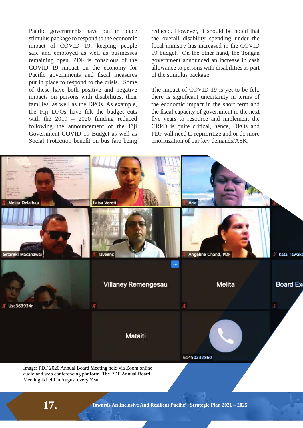Pacific governments have put in place stimulus package to respond to the economic impact of COVID 19, keeping people safe and employed as well as businesses remaining open. PDF is conscious of the COVID 19 impact on the economy for Pacific governments and fiscal measures put in place to respond to the crisis. Some of these have both positive and negative impacts on persons with disabilities, their families, as well as the DPOs. As example, the Fiji DPOs have felt the budget cuts with the 2019 – 2020 funding reduced following the announcement of the Fiji Government COVID 19 Budget as well as Social Protection benefit on bus fare being reduced. However, it should be noted that the overall disability spending under the focal ministry has increased in the COVID 19 budget. On the other hand, the Tongan government announced an increase in cash allowance to persons with disabilities as part of the stimulus package.

The impact of COVID 19 is yet to be felt, there is significant uncertainty in terms of the economic impact in the short term and the fiscal capacity of government in the next five years to resource and implement the CRPD is quite critical, hence, DPOs and PDF will need to reprioritize and or do more prioritization of our key demands/ASK.

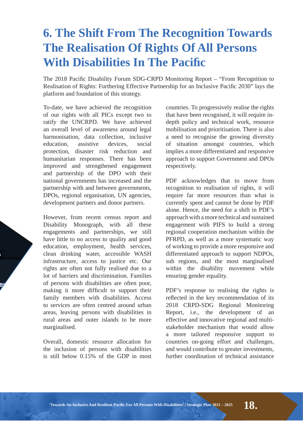## **6. The Shift From The Recognition Towards The Realisation Of Rights Of All Persons With Disabilities In The Pacific**

The 2018 Pacific Disability Forum SDG-CRPD Monitoring Report – "From Recognition to Realisation of Rights: Furthering Effective Partnership for an Inclusive Pacific 2030" lays the platform and foundation of this strategy.

To-date, we have achieved the recognition of our rights with all PICs except two to ratify the UNCRPD. We have achieved an overall level of awareness around legal harmonisation, data collection, inclusive education, assistive devices, social protection, disaster risk reduction and humanitarian responses. There has been improved and strengthened engagement and partnership of the DPO with their national governments has increased and the partnership with and between governments, DPOs, regional organisation, UN agencies, development partners and donor partners.

However, from recent census report and Disability Monograph, with all these engagements and partnerships, we still have little to no access to quality and good education, employment, health services, clean drinking water, accessible WASH infrastructure, access to justice etc. Our rights are often not fully realised due to a lot of barriers and discrimination. Families of persons with disabilities are often poor, making it more difficult to support their family members with disabilities. Access to services are often centred around urban areas, leaving persons with disabilities in rural areas and outer islands to be more marginalised.

Overall, domestic resource allocation for the inclusion of persons with disabilities is still below 0.15% of the GDP in most countries. To progressively realise the rights that have been recognised, it will require indepth policy and technical work, resource mobilisation and prioritisation. There is also a need to recognise the growing diversity of situation amongst countries, which implies a more differentiated and responsive approach to support Government and DPOs respectively.

PDF acknowledges that to move from recognition to realisation of rights, it will require far more resources than what is currently spent and cannot be done by PDF alone. Hence, the need for a shift in PDF's approach with a more technical and sustained engagement with PIFS to build a strong regional cooperation mechanism within the PFRPD, as well as a more systematic way of working to provide a more responsive and differentiated approach to support NDPOs, sub regions, and the most marginalised within the disability movement while ensuring gender equality.

PDF's response to realising the rights is reflected in the key recommendation of its 2018 CRPD-SDG Regional Monitoring Report, i.e., the development of an effective and innovative regional and multistakeholder mechanism that would allow a more tailored responsive support to countries on-going effort and challenges, and would contribute to greater investments, further coordination of technical assistance

"Towards An Inclusive And Resilient Pacific For All Persons With Disabilities' | Strategic Plan 2021 – 2025  $\bf{28.}$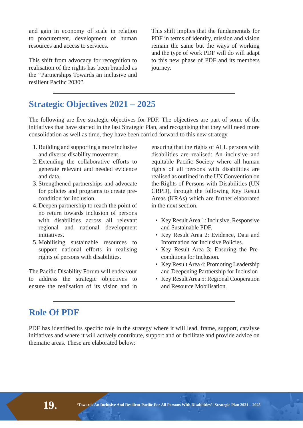and gain in economy of scale in relation to procurement, development of human resources and access to services.

This shift from advocacy for recognition to realisation of the rights has been branded as the "Partnerships Towards an inclusive and resilient Pacific 2030".

This shift implies that the fundamentals for PDF in terms of identity, mission and vision remain the same but the ways of working and the type of work PDF will do will adapt to this new phase of PDF and its members journey.

### **Strategic Objectives 2021 – 2025**

The following are five strategic objectives for PDF. The objectives are part of some of the initiatives that have started in the last Strategic Plan, and recognising that they will need more consolidation as well as time, they have been carried forward to this new strategy.

- 1. Building and supporting a more inclusive and diverse disability movement.
- 2. Extending the collaborative efforts to generate relevant and needed evidence and data.
- 3. Strengthened partnerships and advocate for policies and programs to create precondition for inclusion.
- 4. Deepen partnership to reach the point of no return towards inclusion of persons with disabilities across all relevant regional and national development initiatives.
- 5. Mobilising sustainable resources to support national efforts in realising rights of persons with disabilities.

The Pacific Disability Forum will endeavour to address the strategic objectives to ensure the realisation of its vision and in

ensuring that the rights of ALL persons with disabilities are realised: An inclusive and equitable Pacific Society where all human rights of all persons with disabilities are realised as outlined in the UN Convention on the Rights of Persons with Disabilities (UN CRPD), through the following Key Result Areas (KRAs) which are further elaborated in the next section.

- Key Result Area 1: Inclusive, Responsive and Sustainable PDF.
- Key Result Area 2: Evidence, Data and Information for Inclusive Policies.
- Key Result Area 3: Ensuring the Preconditions for Inclusion.
- Key Result Area 4: Promoting Leadership and Deepening Partnership for Inclusion
- Key Result Area 5: Regional Cooperation and Resource Mobilisation.

### **Role Of PDF**

PDF has identified its specific role in the strategy where it will lead, frame, support, catalyse initiatives and where it will actively contribute, support and or facilitate and provide advice on thematic areas. These are elaborated below: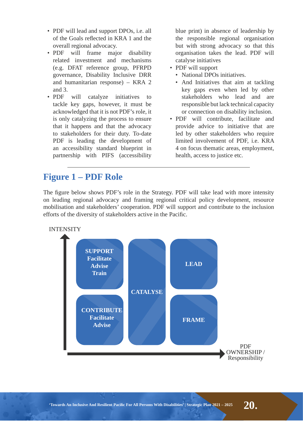- PDF will lead and support DPOs, i.e. all of the Goals reflected in  $KRA$  1 and the overall regional advocacy.
- PDF will frame major disability related investment and mechanisms (e.g. DFAT reference group, PFRPD governance, Disability Inclusive DRR and humanitarian response) – KRA 2 and 3.
- PDF will catalyze initiatives to tackle key gaps, however, it must be acknowledged that it is not PDF's role, it is only catalyzing the process to ensure that it happens and that the advocacy to stakeholders for their duty. To-date PDF is leading the development of an accessibility standard blueprint in partnership with PIFS (accessibility

blue print) in absence of leadership by the responsible regional organisation but with strong advocacy so that this organisation takes the lead. PDF will catalyse initiatives

- PDF will support
	- National DPOs initiatives.
	- And Initiatives that aim at tackling key gaps even when led by other stakeholders who lead and are responsible but lack technical capacity or connection on disability inclusion.
- PDF will contribute, facilitate and provide advice to initiative that are led by other stakeholders who require limited involvement of PDF, i.e. KRA 4 on focus thematic areas, employment, health, access to justice etc.

### **Figure 1 – PDF Role**

The figure below shows PDF's role in the Strategy. PDF will take lead with more intensity on leading regional advocacy and framing regional critical policy development, resource mobilisation and stakeholders' cooperation. PDF will support and contribute to the inclusion efforts of the diversity of stakeholders active in the Pacific.



**INTENSITY**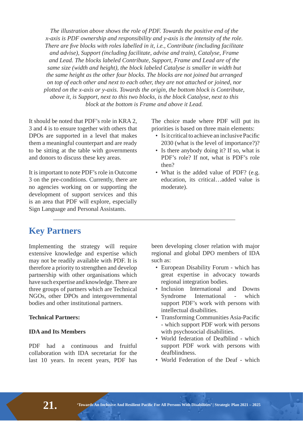The illustration above shows the role of PDF. Towards the positive end of the  $X$ -axis is PDF ownership and responsibility and  $y$ -axis is the intensity of the role. *There are five blocks with roles labelled in it, i.e., Contribute (including facilitate* and advise), Support (including facilitate, advise and train), Catalyse, Frame and Lead. The blocks labeled Contribute, Support, Frame and Lead are of the same size (width and height), the block labeled Catalyse is smaller in width but the same height as the other four blocks. The blocks are not joined but arranged on top of each other and next to each other, they are not attached or joined, nor plotted on the x-axis or y-axis. Towards the origin, the bottom block is Contribute, above it, is Support, next to this two blocks, is the block Catalyse, next to this *EDRICHALLY EDRICH EDRICH ECONOM is Frame and above it Lead.* 

It should be noted that PDF's role in KRA 2, 3 and 4 is to ensure together with others that DPOs are supported in a level that makes them a meaningful counterpart and are ready to be sitting at the table with governments and donors to discuss these key areas.

It is important to note PDF's role in Outcome 3 on the pre-conditions. Currently, there are no agencies working on or supporting the development of support services and this is an area that PDF will explore, especially Sign Language and Personal Assistants.

The choice made where PDF will put its priorities is based on three main elements:

- Is it critical to achieve an inclusive Pacific 2030 (what is the level of importance?)?
- Is there anybody doing it? If so, what is PDF's role? If not, what is PDF's role then?
- What is the added value of PDF? (e.g. education, its critical…added value is moderate).

### **Key Partners**

Implementing the strategy will require extensive knowledge and expertise which may not be readily available with PDF. It is therefore a priority to strengthen and develop partnership with other organisations which have such expertise and knowledge. There are three groups of partners which are Technical NGOs, other DPOs and intergovernmental bodies and other institutional partners.

#### **Technical Partners:**

#### **IDA and Its Members**

PDF had a continuous and fruitful collaboration with IDA secretariat for the last 10 years. In recent years, PDF has

been developing closer relation with major regional and global DPO members of IDA such as:

- European Disability Forum which has great expertise in advocacy towards regional integration bodies.
- Inclusion International and Downs Syndrome International - which support PDF's work with persons with intellectual disabilities.
- Transforming Communities Asia-Pacific - which support PDF work with persons with psychosocial disabilities.
- World federation of Deafblind which support PDF work with persons with deafblindness.
- World Federation of the Deaf which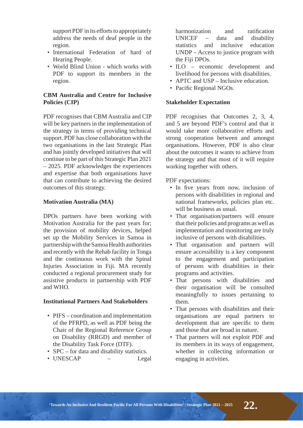support PDF in its efforts to appropriately address the needs of deaf people in the region.

- International Federation of hard of Hearing People.
- World Blind Union which works with PDF to support its members in the region.

#### **CBM Australia and Centre for Inclusive Policies (CIP)**

PDF recognises that CBM Australia and CIP will be key partners in the implementation of the strategy in terms of providing technical support. PDF has close collaboration with the two organisations in the last Strategic Plan and has jointly developed initiatives that will continue to be part of this Strategic Plan 2021 – 2025. PDF acknowledges the experiences and expertise that both organisations have that can contribute to achieving the desired outcomes of this strategy.

#### **Motivation Australia (MA)**

DPOs partners have been working with Motivation Australia for the past years for; the provision of mobility devices, helped set up the Mobility Services in Samoa in partnership with the Samoa Health authorities and recently with the Rehab facility in Tonga and the continuous work with the Spinal Injuries Association in Fiji. MA recently conducted a regional procurement study for assistive products in partnership with PDF and WHO.

#### **Institutional Partners And Stakeholders**

- PIFS coordination and implementation of the PFRPD, as well as PDF being the Chair of the Regional Reference Group on Disability (RRGD) and member of the Disability Task Force (DTF).
- SPC for data and disability statistics.
- UNESCAP Legal

harmonization and ratification UNICEF – data and disability statistics and inclusive education UNDP – Access to justice program with the Fiji DPOs.

- ILO economic development and livelihood for persons with disabilities.
- APTC and USP Inclusive education.
- Pacific Regional NGOs.

#### **Stakeholder Expectation**

PDF recognises that Outcomes 2, 3, 4, and 5 are beyond PDF's control and that it would take more collaborative efforts and strong cooperation between and amongst organisations. However, PDF is also clear about the outcomes it wants to achieve from the strategy and that most of it will require working together with others.

#### PDF expectations:

- In five years from now, inclusion of persons with disabilities in regional and national frameworks, policies plan etc. will be business as usual.
- That organisation/partners will ensure that their policies and programs as well as implementation and monitoring are truly inclusive of persons with disabilities.
- That organisation and partners will ensure accessibility is a key component to the engagement and participation of persons with disabilities in their programs and activities.
- That persons with disabilities and their organisation will be consulted meaningfully to issues pertaining to them.
- That persons with disabilities and their organisations are equal partners to development that are specific to them and those that are broad in nature.
- That partners will not exploit PDF and its members in its ways of engagement, whether in collecting information or engaging in activities.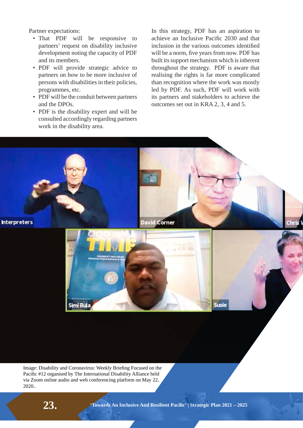Partner expectations:

- That PDF will be responsive to partners' request on disability inclusive development noting the capacity of PDF and its members.
- PDF will provide strategic advice to partners on how to be more inclusive of persons with disabilities in their policies, programmes, etc.
- PDF will be the conduit between partners and the DPOs.
- PDF is the disability expert and will be consulted accordingly regarding partners work in the disability area.

In this strategy, PDF has an aspiration to achieve an Inclusive Pacific 2030 and that inclusion in the various outcomes identified will be a norm, five years from now. PDF has built its support mechanism which is inherent throughout the strategy. PDF is aware that realising the rights is far more complicated than recognition where the work was mostly led by PDF. As such, PDF will work with its partners and stakeholders to achieve the outcomes set out in KRA 2, 3, 4 and 5.



Image: Disability and Coronavirus: Weekly Briefing Focused on the Pacific #12 organised by The International Disability Alliance held via Zoom online audio and web conferencing platform on May 22, 2020..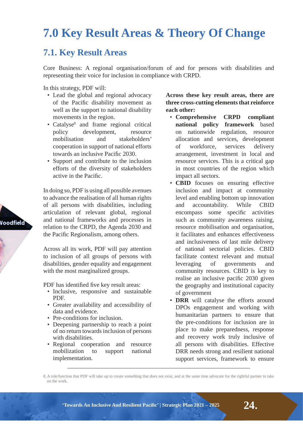## **7.0 Key Result Areas & Theory Of Change**

### **7.1. Key Result Areas**

Core Business: A regional organisation/forum of and for persons with disabilities and representing their voice for inclusion in compliance with CRPD.

In this strategy, PDF will:

- Lead the global and regional advocacy of the Pacific disability movement as well as the support to national disability movements in the region.
- Catalyse<sup>8</sup> and frame regional critical policy development, resource mobilisation and stakeholders' cooperation in support of national efforts towards an inclusive Pacific 2030.
- Support and contribute to the inclusion efforts of the diversity of stakeholders active in the Pacific.

In doing so, PDF is using all possible avenues to advance the realisation of all human rights of all persons with disabilities, including articulation of relevant global, regional and national frameworks and processes in relation to the CRPD, the Agenda 2030 and the Pacific Regionalism, among others.

Across all its work, PDF will pay attention to inclusion of all groups of persons with disabilities, gender equality and engagement with the most marginalized groups.

PDF has identified five key result areas:

- Inclusive, responsive and sustainable PDF.
- Greater availability and accessibility of data and evidence.
- Pre-conditions for inclusion.
- Deepening partnership to reach a point of no return towards inclusion of persons with disabilities.
- Regional cooperation and resource mobilization to support national implementation.

Across these key result areas, there are **three cross-cutting elements that reinforce each other:**

- Comprehensive **CRPD** compliant national policy framework based on nationwide regulation, resource allocation and services, development of workforce, services delivery arrangement, investment in local and resource services. This is a critical gap in most countries of the region which impact all sectors.
- **CBID** focuses on ensuring effective inclusion and impact at community level and enabling bottom up innovation and accountability. While CBID encompass some specific activities such as community awareness raising, resource mobilisation and organisation, it facilitates and enhances effectiveness and inclusiveness of last mile delivery of national sectorial policies. CBID facilitate context relevant and mutual leveraging of governments and community resources. CBID is key to realise an inclusive pacific 2030 given the geography and institutional capacity of government
- **DRR** will catalyse the efforts around DPOs engagement and working with humanitarian partners to ensure that the pre-conditions for inclusion are in place to make preparedness, response and recovery work truly inclusive of all persons with disabilities. Effective DRR needs strong and resilient national support services, framework to ensure

8. A role/function that PDF will take up to create something that does not exist, and at the same time advocate for the rightful partner to take on the work.



**<sup>24.</sup> ȉ7RZDUGV\$Q,QFOXVLYH\$QG5HVLOLHQW3DFLʏFȊ\_6WUDWHJLF3ODQȅ**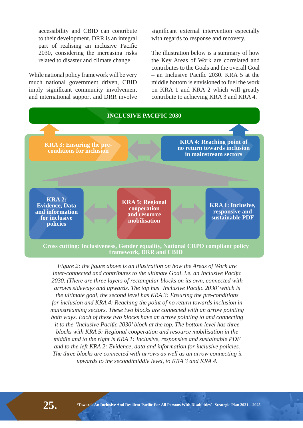accessibility and CBID can contribute to their development. DRR is an integral part of realising an inclusive Pacific 2030, considering the increasing risks related to disaster and climate change.

While national policy framework will be very much national government driven, CBID imply significant community involvement and international support and DRR involve significant external intervention especially with regards to response and recovery.

The illustration below is a summary of how the Key Areas of Work are correlated and contributes to the Goals and the overall Goal  $-$  an Inclusive Pacific 2030. KRA 5 at the middle bottom is envisioned to fuel the work on KRA 1 and KRA 2 which will greatly contribute to achieving KRA 3 and KRA 4.



**framework, DRR and CBID** 

*Figure 2: the figure above is an illustration on how the Areas of Work are L* inter-connected and contributes to the ultimate Goal, *i.e.* an Inclusive Pacific 2030. (There are three layers of rectangular blocks on its own, connected with arrows sideways and upwards. The top has 'Inclusive Pacific 2030' which is *the ultimate goal, the second level has KRA 3: Ensuring the pre-conditions for inclusion and KRA 4: Reaching the point of no return towards inclusion in <i>Phalingaregragy mainstreaming sectors. These two blocks are connected with an arrow pointing* both ways. Each of these two blocks have an arrow pointing to and connecting *it to the 'Inclusive Pacific 2030' block at the top. The bottom level has three blocks with KRA 5: Regional cooperation and resource mobilisation in the Phiddle and to the right is KRA 1: Inclusive, responsive and sustainable PDF* and to the left KRA 2: Evidence, data and information for inclusive policies. The three blocks are connected with arrows as well as an arrow connecting it *upwards to the second/middle level, to KRA 3 and KRA 4.*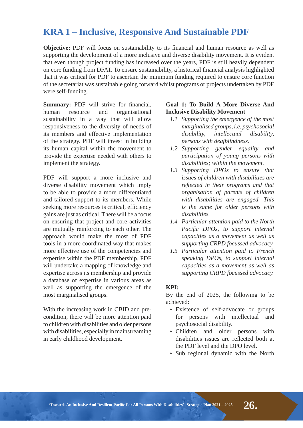### **KRA1** – Inclusive, Responsive And Sustainable PDF

**Objective:** PDF will focus on sustainability to its financial and human resource as well as supporting the development of a more inclusive and diverse disability movement. It is evident that even though project funding has increased over the years, PDF is still heavily dependent on core funding from DFAT. To ensure sustainability, a historical financial analysis highlighted that it was critical for PDF to ascertain the minimum funding required to ensure core function of the secretariat was sustainable going forward whilst programs or projects undertaken by PDF were self-funding.

Summary: PDF will strive for financial, human resource and organisational sustainability in a way that will allow responsiveness to the diversity of needs of its members and effective implementation of the strategy. PDF will invest in building its human capital within the movement to provide the expertise needed with others to implement the strategy.

PDF will support a more inclusive and diverse disability movement which imply to be able to provide a more differentiated and tailored support to its members. While seeking more resources is critical, efficiency gains are just as critical. There will be a focus on ensuring that project and core activities are mutually reinforcing to each other. The approach would make the most of PDF tools in a more coordinated way that makes more effective use of the competencies and expertise within the PDF membership. PDF will undertake a mapping of knowledge and expertise across its membership and provide a database of expertise in various areas as well as supporting the emergence of the most marginalised groups.

With the increasing work in CBID and precondition, there will be more attention paid to children with disabilities and older persons with disabilities, especially in mainstreaming in early childhood development.

#### **Goal 1: To Build A More Diverse And Inclusive Disability Movement**

- 1.1 Supporting the emergence of the most *PDUILDO Harginalised groups, i.e. psychosocial* disability, intellectual disability, *persons with deafblindness.*
- 1.2 Supporting gender equality and *participation of young persons with disabilities: within the movement.*
- 1.3 Supporting DPOs to ensure that *LIVA LISSUES* of *children* with *disabilities* are *reflected in their programs and that organisation of parents of children with disabilities are engaged. This is the same for older persons with* disabilities.
- 1.4 Particular attention paid to the North Pacific DPOs, to support internal *capacities as a movement as well as Supporting CRPD focussed advocacy.*
- 1.5 Particular attention paid to French speaking DPOs, to support internal *<i>FADDERITHZIDS FADDERITHZIDS DDDERITHZIDS* supporting CRPD focussed advocacy.

#### **KPI:**

By the end of 2025, the following to be achieved:

- Existence of self-advocate or groups for persons with intellectual and psychosocial disability.
- Children and older persons with disabilities issues are reflected both at the PDF level and the DPO level.
- Sub regional dynamic with the North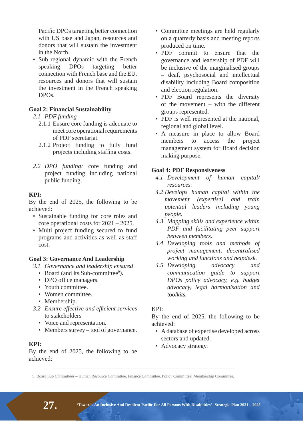Pacific DPOs targeting better connection with US base and Japan, resources and donors that will sustain the investment in the North.

• Sub regional dynamic with the French speaking DPOs targeting better connection with French base and the EU, resources and donors that will sustain the investment in the French speaking DPOs.

#### **Goal 2: Financial Sustainability**

#### 2.1 PDF funding

- 2.1.1 Ensure core funding is adequate to meet core operational requirements of PDF secretariat.
- 2.1.2 Project funding to fully fund projects including staffing costs.
- 2.2 *DPO* funding: core funding and project funding including national public funding.

#### **KPI:**

By the end of 2025, the following to be achieved:

- Sustainable funding for core roles and core operational costs for 2021 – 2025.
- Multi project funding secured to fund programs and activities as well as staff cost.

#### **Goal 3: Governance And Leadership**

- 3.1 Governance and leadership ensured
- Board (and its Sub-committee<sup>9</sup>).
	- DPO office managers.
	- Youth committee.
	- Women committee.
	- Membership.
	- **3.2** Ensure effective and efficient services to stakeholders
		- Voice and representation.
		- Members survey tool of governance.

#### **KPI:**

By the end of 2025, the following to be achieved:

- Committee meetings are held regularly on a quarterly basis and meeting reports produced on time.
- PDF commit to ensure that the governance and leadership of PDF will be inclusive of the marginalised groups – deaf, psychosocial and intellectual disability including Board composition and election regulation.
- PDF Board represents the diversity of the movement – with the different groups represented.
- PDF is well represented at the national, regional and global level.
- A measure in place to allow Board members to access the project management system for Board decision making purpose.

#### **Goal 4: PDF Responsiveness**

- 4.1 Development of human capital/ resources.
- 4.2 Develops human capital within the *PRYHPHPHQWERY Hexpertise* and train *potential leaders including young people.*
- 4.3 Mapping skills and experience within *PDF* and facilitating peer support between members.
- 4.4 Developing tools and methods of *project management, decentralised <i><u>working</u>* and functions and helpdesk.
- 4.5 Developing advocacy and *communication guide to support DPOs policy advocacy, e.g. budget* advocacy, legal harmonisation and *toolkits*

#### KPI:

By the end of 2025, the following to be achieved:

- A database of expertise developed across sectors and updated.
- Advocacy strategy.

<sup>9.</sup> Board Sub Committees – Human Resource Committee, Finance Committee, Policy Committee, Membership Committee,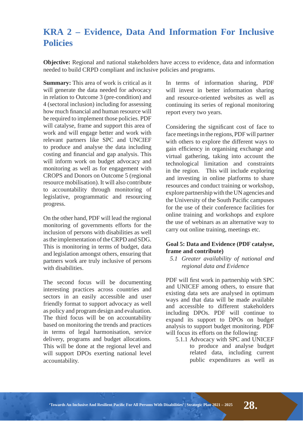### **KRA 2 - Evidence, Data And Information For Inclusive Policies**

**Objective:** Regional and national stakeholders have access to evidence, data and information needed to build CRPD compliant and inclusive policies and programs.

**Summary:** This area of work is critical as it will generate the data needed for advocacy in relation to Outcome 3 (pre-condition) and 4 (sectoral inclusion) including for assessing how much financial and human resource will be required to implement those policies. PDF will catalyse, frame and support this area of work and will engage better and work with relevant partners like SPC and UNCIEF to produce and analyse the data including costing and financial and gap analysis. This will inform work on budget advocacy and monitoring as well as for engagement with CROPS and Donors on Outcome 5 (regional resource mobilisation). It will also contribute to accountability through monitoring of legislative, programmatic and resourcing progress.

On the other hand, PDF will lead the regional monitoring of governments efforts for the inclusion of persons with disabilities as well as the implementation of the CRPD and SDG. This is monitoring in terms of budget, data and legislation amongst others, ensuring that partners work are truly inclusive of persons with disabilities.

The second focus will be documenting interesting practices across countries and sectors in an easily accessible and user friendly format to support advocacy as well as policy and program design and evaluation. The third focus will be on accountability based on monitoring the trends and practices in terms of legal harmonisation, service delivery, programs and budget allocations. This will be done at the regional level and will support DPOs exerting national level accountability.

In terms of information sharing, PDF will invest in better information sharing and resource-oriented websites as well as continuing its series of regional monitoring report every two years.

Considering the significant cost of face to face meetings in the regions, PDF will partner with others to explore the different ways to gain efficiency in organising exchange and virtual gathering, taking into account the technological limitation and constraints in the region. This will include exploring and investing in online platforms to share resources and conduct training or workshop, explore partnership with the UN agencies and the University of the South Pacific campuses for the use of their conference facilities for online training and workshops and explore the use of webinars as an alternative way to carry out online training, meetings etc.

#### Goal 5: Data and Evidence (PDF catalyse, frame and contribute)

5.1 Greater availability of national and *regional data and Evidence* 

PDF will first work in partnership with SPC and UNICEF among others, to ensure that existing data sets are analysed in optimum ways and that data will be made available and accessible to different stakeholders including DPOs. PDF will continue to expand its support to DPOs on budget analysis to support budget monitoring. PDF will focus its efforts on the following:

 5.1.1 Advocacy with SPC and UNICEF to produce and analyse budget related data, including current public expenditures as well as

"Towards An Inclusive And Resilient Pacific For All Persons With Disabilities' | Strategic Plan 2021 – 2025  $\bf 28$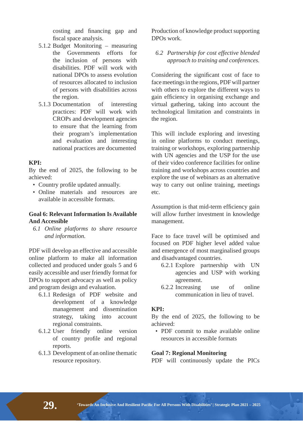costing and financing gap and fiscal space analysis.

- 5.1.2 Budget Monitoring measuring the Governments efforts for the inclusion of persons with disabilities. PDF will work with national DPOs to assess evolution of resources allocated to inclusion of persons with disabilities across the region.
- 5.1.3 Documentation of interesting practices: PDF will work with CROPs and development agencies to ensure that the learning from their program's implementation and evaluation and interesting national practices are documented

#### **KPI:**

By the end of 2025, the following to be achieved:

- Country profile updated annually.
- Online materials and resources are available in accessible formats.

#### **Goal 6: Relevant Information Is Available And Accessible**

6.1 Online platforms to share resource *and information.* 

PDF will develop an effective and accessible online platform to make all information collected and produced under goals 5 and 6 easily accessible and user friendly format for DPOs to support advocacy as well as policy and program design and evaluation.

- 6.1.1 Redesign of PDF website and development of a knowledge management and dissemination strategy, taking into account regional constraints.
- 6.1.2 User friendly online version of country profile and regional reports.
- 6.1.3 Development of an online thematic resource repository.

Production of knowledge product supporting DPOs work.

6.2 Partnership for cost effective blended *approach to training and conferences.* 

Considering the significant cost of face to face meetings in the regions, PDF will partner with others to explore the different ways to gain efficiency in organising exchange and virtual gathering, taking into account the technological limitation and constraints in the region.

This will include exploring and investing in online platforms to conduct meetings, training or workshops, exploring partnership with UN agencies and the USP for the use of their video conference facilities for online training and workshops across countries and explore the use of webinars as an alternative way to carry out online training, meetings etc.

Assumption is that mid-term efficiency gain will allow further investment in knowledge management.

Face to face travel will be optimised and focused on PDF higher level added value and emergence of most marginalised groups and disadvantaged countries.

- 6.2.1 Explore partnership with UN agencies and USP with working agreement.
- 6.2.2 Increasing use of online communication in lieu of travel.

#### **KPI:**

By the end of 2025, the following to be achieved:

• PDF commit to make available online resources in accessible formats

#### **Goal 7: Regional Monitoring**

PDF will continuously update the PICs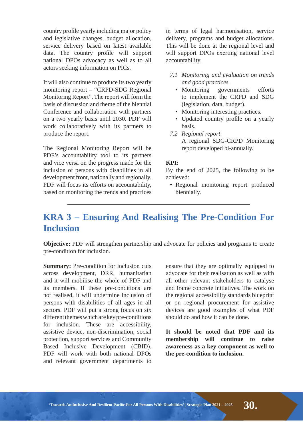country profile yearly including major policy and legislative changes, budget allocation, service delivery based on latest available data. The country profile will support national DPOs advocacy as well as to all actors seeking information on PICs.

It will also continue to produce its two yearly monitoring report – "CRPD-SDG Regional Monitoring Report". The report will form the basis of discussion and theme of the biennial Conference and collaboration with partners on a two yearly basis until 2030. PDF will work collaboratively with its partners to produce the report.

The Regional Monitoring Report will be PDF's accountability tool to its partners and vice versa on the progress made for the inclusion of persons with disabilities in all development front, nationally and regionally. PDF will focus its efforts on accountability, based on monitoring the trends and practices

in terms of legal harmonisation, service delivery, programs and budget allocations. This will be done at the regional level and will support DPOs exerting national level accountability.

- *7.1 Monitoring and evaluation on trends* and good practices.
	- Monitoring governments efforts to implement the CRPD and SDG (legislation, data, budget).
	- Monitoring interesting practices.
	- Updated country profile on a yearly basis.
- 7.2 Regional report. A regional SDG-CRPD Monitoring report developed bi-annually.

#### **KPI:**

By the end of 2025, the following to be achieved:

• Regional monitoring report produced biennially.

## **KRA 3 - Ensuring And Realising The Pre-Condition For Inclusion**

**Objective:** PDF will strengthen partnership and advocate for policies and programs to create pre-condition for inclusion.

**Summary:** Pre-condition for inclusion cuts across development, DRR, humanitarian and it will mobilise the whole of PDF and its members. If these pre-conditions are not realised, it will undermine inclusion of persons with disabilities of all ages in all sectors. PDF will put a strong focus on six different themes which are key pre-conditions for inclusion. These are accessibility, assistive device, non-discrimination, social protection, support services and Community Based Inclusive Development (CBID). PDF will work with both national DPOs and relevant government departments to

ensure that they are optimally equipped to advocate for their realisation as well as with all other relevant stakeholders to catalyse and frame concrete initiatives. The work on the regional accessibility standards blueprint or on regional procurement for assistive devices are good examples of what PDF should do and how it can be done.

It should be noted that PDF and its **membership will continue to raise**  awareness as a key component as well to **the pre-condition to inclusion.**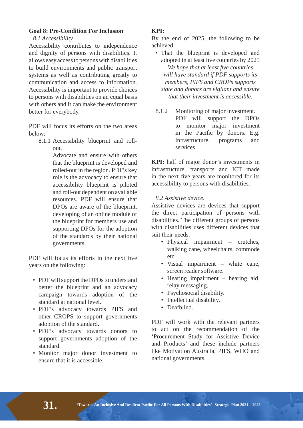#### **Goal 8: Pre-Condition For Inclusion**

8.1 Accessibility

Accessibility contributes to independence and dignity of persons with disabilities. It allows easy access to persons with disabilities to build environments and public transport systems as well as contributing greatly to communication and access to information. Accessibility is important to provide choices to persons with disabilities on an equal basis with others and it can make the environment better for everybody.

PDF will focus its efforts on the two areas below:

 8.1.1 Accessibility blueprint and rollout.

 Advocate and ensure with others that the blueprint is developed and rolled-out in the region. PDF's key role is the advocacy to ensure that accessibility blueprint is piloted and roll-out dependent on available resources. PDF will ensure that DPOs are aware of the blueprint, developing of an online module of the blueprint for members use and supporting DPOs for the adoption of the standards by their national governments.

PDF will focus its efforts in the next five years on the following:

- PDF will support the DPOs to understand better the blueprint and an advocacy campaign towards adoption of the standard at national level.
- PDF's advocacy towards PIFS and other CROPS to support governments adoption of the standard.
- PDF's advocacy towards donors to support governments adoption of the standard.
- Monitor major donor investment to ensure that it is accessible.

#### **KPI:**

By the end of 2025, the following to be achieved:

- That the blueprint is developed and adopted in at least five countries by 2025 *We hope that at least five countries Will have standard if PDF supports its members, PIFS and CROPs supports state and donors are vigilant and ensure that their investment is accessible*
- 8.1.2 Monitoring of major investment. PDF will support the DPOs to monitor major investment in the Pacific by donors. E.g. infrastructure, programs and services.

**KPI:** half of major donor's investments in infrastructure, transports and ICT made in the next five vears are monitored for its accessibility to persons with disabilities.

#### 8.2 Assistive device.

Assistive devices are devices that support the direct participation of persons with disabilities. The different groups of persons with disabilities uses different devices that suit their needs.

- Physical impairment crutches, walking cane, wheelchairs, commode etc.
- Visual impairment white cane, screen reader software.
- Hearing impairment hearing aid, relay messaging.
- Psychosocial disability.
- Intellectual disability.
- Deafblind.

PDF will work with the relevant partners to act on the recommendation of the 'Procurement Study for Assistive Device and Products' and these include partners like Motivation Australia, PIFS, WHO and national governments.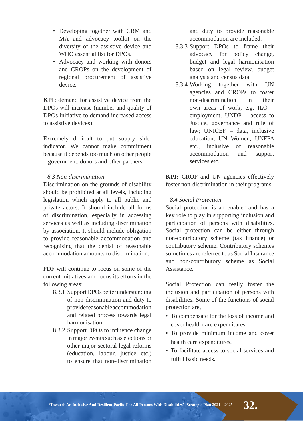- Developing together with CBM and MA and advocacy toolkit on the diversity of the assistive device and WHO essential list for DPOs.
- Advocacy and working with donors and CROPs on the development of regional procurement of assistive device.

**KPI:** demand for assistive device from the DPOs will increase (number and quality of DPOs initiative to demand increased access to assistive devices).

Extremely difficult to put supply sideindicator. We cannot make commitment because it depends too much on other people – government, donors and other partners.

#### 8.3 Non-discrimination

Discrimination on the grounds of disability should be prohibited at all levels, including legislation which apply to all public and private actors. It should include all forms of discrimination, especially in accessing services as well as including discrimination by association. It should include obligation to provide reasonable accommodation and recognising that the denial of reasonable accommodation amounts to discrimination.

PDF will continue to focus on some of the current initiatives and focus its efforts in the following areas:

- 8.3.1 Support DPOs better understanding of non-discrimination and duty to provide reasonable accommodation and related process towards legal harmonisation.
- 8.3.2 Support DPOs to influence change in major events such as elections or other major sectoral legal reforms (education, labour, justice etc.) to ensure that non-discrimination

and duty to provide reasonable accommodation are included.

- 8.3.3 Support DPOs to frame their advocacy for policy change, budget and legal harmonisation based on legal review, budget analysis and census data.
- 8.3.4 Working together with UN agencies and CROPs to foster non-discrimination in their own areas of work, e.g. ILO – employment, UNDP – access to Justice, governance and rule of law; UNICEF - data, inclusive education, UN Women, UNFPA etc., inclusive of reasonable accommodation and support services etc.

**KPI:** CROP and UN agencies effectively foster non-discrimination in their programs.

#### 8.4 Social Protection.

Social protection is an enabler and has a key role to play in supporting inclusion and participation of persons with disabilities. Social protection can be either through non-contributory scheme (tax finance) or contributory scheme. Contributory schemes sometimes are referred to as Social Insurance and non-contributory scheme as Social Assistance.

Social Protection can really foster the inclusion and participation of persons with disabilities. Some of the functions of social protection are,

- To compensate for the loss of income and cover health care expenditures.
- To provide minimum income and cover health care expenditures.
- To facilitate access to social services and fulfill basic needs.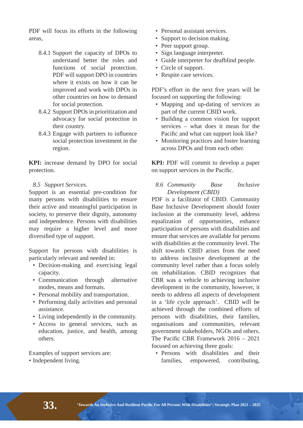PDF will focus its efforts in the following areas,

- 8.4.1 Support the capacity of DPOs to understand better the roles and functions of social protection. PDF will support DPO in countries where it exists on how it can be improved and work with DPOs in other countries on how to demand for social protection.
- 8.4.2 Support DPOs in prioritization and advocacy for social protection in their country.
- 8.4.3 Engage with partners to influence social protection investment in the region.

**KPI:** increase demand by DPO for social protection.

8.5 Support Services.

Support is an essential pre-condition for many persons with disabilities to ensure their active and meaningful participation in society, to preserve their dignity, autonomy and independence. Persons with disabilities may require a higher level and more diversified type of support.

Support for persons with disabilities is particularly relevant and needed in:

- Decision-making and exercising legal capacity.
- Communication through alternative modes, means and formats.
- Personal mobility and transportation.
- Performing daily activities and personal assistance.
- Living independently in the community.
- Access to general services, such as education, justice, and health, among others.

Examples of support services are:

• Independent living.

- Personal assistant services.
- Support to decision making.
- Peer support group.
- Sign language interpreter.
- Guide interpreter for deafblind people.
- Circle of support.
- Respite care services.

PDF's effort in the next five years will be focused on supporting the following:

- Mapping and up-dating of services as part of the current CBID work.
- Building a common vision for support services – what does it mean for the Pacific and what can support look like?
- Monitoring practices and foster learning across DPOs and from each other.

**KPI:** PDF will commit to develop a paper on support services in the Pacific.

8.6 Community **Base** Inclusive Development (CBID)

PDF is a facilitator of CBID. Community Base Inclusive Development should foster inclusion at the community level, address equalization of opportunities, enhance participation of persons with disabilities and ensure that services are available for persons with disabilities at the community level. The shift towards CBID arises from the need to address inclusive development at the community level rather than a focus solely on rehabilitation. CBID recognizes that CBR was a vehicle to achieving inclusive development in the community, however, it needs to address all aspects of development in a 'life cycle approach'. CBID will be achieved through the combined efforts of persons with disabilities, their families, organisations and communities, relevant government stakeholders, NGOs and others. The Pacific CBR Framework  $2016 - 2021$ focused on achieving three goals:

• Persons with disabilities and their families, empowered, contributing,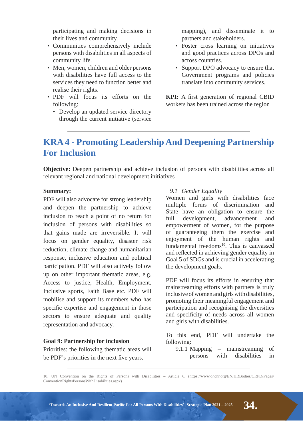participating and making decisions in their lives and community.

- Communities comprehensively include persons with disabilities in all aspects of community life.
- Men, women, children and older persons with disabilities have full access to the services they need to function better and realise their rights.
- PDF will focus its efforts on the following:
	- Develop an updated service directory through the current initiative (service

mapping), and disseminate it to partners and stakeholders.

- Foster cross learning on initiatives and good practices across DPOs and across countries.
- Support DPO advocacy to ensure that Government programs and policies translate into community services.

**KPI:** A first generation of regional CBID workers has been trained across the region

### **KRA 4 - Promoting Leadership And Deepening Partnership For Inclusion**

**Objective:** Deepen partnership and achieve inclusion of persons with disabilities across all relevant regional and national development initiatives

#### **Summary:**

PDF will also advocate for strong leadership and deepen the partnership to achieve inclusion to reach a point of no return for inclusion of persons with disabilities so that gains made are irreversible. It will focus on gender equality, disaster risk reduction, climate change and humanitarian response, inclusive education and political participation. PDF will also actively follow up on other important thematic areas, e.g. Access to justice, Health, Employment, Inclusive sports, Faith Base etc. PDF will mobilise and support its members who has specific expertise and engagement in those sectors to ensure adequate and quality representation and advocacy.

#### **Goal 9: Partnership for inclusion**

Priorities: the following thematic areas will be PDF's priorities in the next five years.

#### **9.1 Gender Equality**

Women and girls with disabilities face multiple forms of discrimination and State have an obligation to ensure the full development, advancement and empowerment of women, for the purpose of guaranteeing them the exercise and enjoyment of the human rights and fundamental freedoms<sup>10</sup>. This is canvassed and reflected in achieving gender equality in Goal 5 of SDGs and is crucial in accelerating the development goals.

PDF will focus its efforts in ensuring that mainstreaming efforts with partners is truly inclusive of women and girls with disabilities, promoting their meaningful engagement and participation and recognising the diversities and specificity of needs across all women and girls with disabilities.

To this end, PDF will undertake the following:

 9.1.1 Mapping – mainstreaming of persons with disabilities in

10. UN Convention on the Rights of Persons with Disabilities – Article 6. (https://www.ohchr.org/EN/HRBodies/CRPD/Pages/ ConventionRightsPersonsWithDisabilities.aspx)

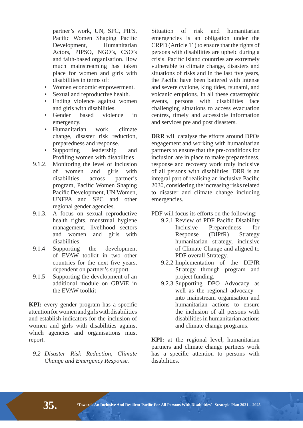partner's work, UN, SPC, PIFS, Pacific Women Shaping Pacific Development, Humanitarian Actors, PIPSO, NGO's, CSO's and faith-based organisation. How much mainstreaming has taken place for women and girls with disabilities in terms of:

- Women economic empowerment.
- Sexual and reproductive health.
- Ending violence against women and girls with disabilities.
- Gender based violence in emergency.
- Humanitarian work, climate change, disaster risk reduction, preparedness and response.
- Supporting leadership and Profiling women with disabilities
- 9.1.2. Monitoring the level of inclusion of women and girls with disabilities across partner's program, Pacific Women Shaping Pacific Development, UN Women, UNFPA and SPC and other regional gender agencies.
- 9.1.3. A focus on sexual reproductive health rights, menstrual hygiene management, livelihood sectors and women and girls with disabilities.
- 9.1.4 Supporting the development of EVAW toolkit in two other countries for the next five years, dependent on partner's support.
- 9.1.5 Supporting the development of an additional module on GBViE in the EVAW toolkit

**KPI:** every gender program has a specific attention for women and girls with disabilities and establish indicators for the inclusion of women and girls with disabilities against which agencies and organisations must report.

**9.2 Disaster Risk Reduction. Climate** *Change and Emergency Response.* 

Situation of risk and humanitarian emergencies is an obligation under the CRPD (Article 11) to ensure that the rights of persons with disabilities are upheld during a crisis. Pacific Island countries are extremely vulnerable to climate change, disasters and situations of risks and in the last five vears, the Pacific have been battered with intense and severe cyclone, king tides, tsunami, and volcanic eruptions. In all these catastrophic events, persons with disabilities face challenging situations to access evacuation centres, timely and accessible information and services pre and post disasters.

**DRR** will catalyse the efforts around DPOs engagement and working with humanitarian partners to ensure that the pre-conditions for inclusion are in place to make preparedness, response and recovery work truly inclusive of all persons with disabilities. DRR is an integral part of realising an inclusive Pacific 2030, considering the increasing risks related to disaster and climate change including emergencies.

PDF will focus its efforts on the following:

- 9.2.1 Review of PDF Pacific Disability Inclusive Preparedness for Response (DIPfR) Strategy humanitarian strategy, inclusive of Climate Change and aligned to PDF overall Strategy.
- 9.2.2 Implementation of the DIPfR Strategy through program and project funding.
- 9.2.3 Supporting DPO Advocacy as well as the regional advocacy – into mainstream organisation and humanitarian actions to ensure the inclusion of all persons with disabilities in humanitarian actions and climate change programs.

**KPI:** at the regional level, humanitarian partners and climate change partners work has a specific attention to persons with disabilities.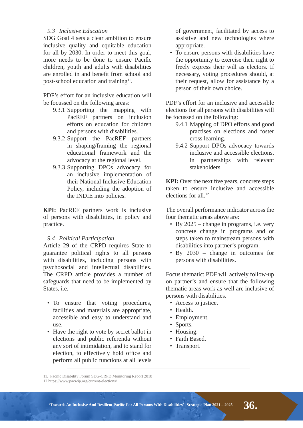#### **9.3** Inclusive Education

SDG Goal 4 sets a clear ambition to ensure inclusive quality and equitable education for all by 2030. In order to meet this goal, more needs to be done to ensure Pacific children, youth and adults with disabilities are enrolled in and benefit from school and post-school education and training<sup>11</sup>.

PDF's effort for an inclusive education will be focussed on the following areas:

- 9.3.1 Supporting the mapping with PacREF partners on inclusion efforts on education for children and persons with disabilities.
- 9.3.2 Support the PacREF partners in shaping/framing the regional educational framework and the advocacy at the regional level.
- 9.3.3 Supporting DPOs advocacy for an inclusive implementation of their National Inclusive Education Policy, including the adoption of the INDIE into policies.

**KPI:** PacREF partners work is inclusive of persons with disabilities, in policy and practice.

#### **9.4 Political Participation**

Article 29 of the CRPD requires State to guarantee political rights to all persons with disabilities, including persons with psychosocial and intellectual disabilities. The CRPD article provides a number of safeguards that need to be implemented by States, i.e.

- To ensure that voting procedures, facilities and materials are appropriate, accessible and easy to understand and use.
- Have the right to vote by secret ballot in elections and public referenda without any sort of intimidation, and to stand for election, to effectively hold office and perform all public functions at all levels

of government, facilitated by access to assistive and new technologies where appropriate.

• To ensure persons with disabilities have the opportunity to exercise their right to freely express their will as electors. If necessary, voting procedures should, at their request, allow for assistance by a person of their own choice.

PDF's effort for an inclusive and accessible elections for all persons with disabilities will be focussed on the following:

- 9.4.1 Mapping of DPO efforts and good practises on elections and foster cross learning.
- 9.4.2 Support DPOs advocacy towards inclusive and accessible elections, in partnerships with relevant stakeholders.

**KPI:** Over the next five vears, concrete steps taken to ensure inclusive and accessible elections for all.12

The overall performance indicator across the four thematic areas above are:

- By 2025 change in programs, i.e. very concrete change in programs and or steps taken to mainstream persons with disabilities into partner's program.
- By 2030 change in outcomes for persons with disabilities.

Focus thematic: PDF will actively follow-up on partner's and ensure that the following thematic areas work as well are inclusive of persons with disabilities.

- Access to justice.
- Health.
- Employment.
- Sports.
- Housing.
- Faith Based.
- Transport.

<sup>11.</sup> Pacific Disability Forum SDG-CRPD Monitoring Report 2018

<sup>12</sup> https://www.pacwip.org/current-elections/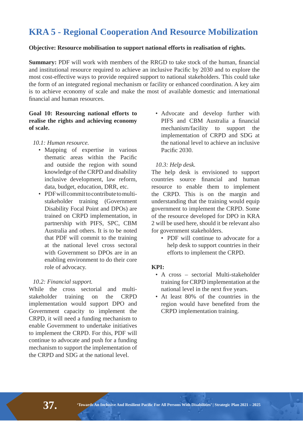## **KRA 5 - Regional Cooperation And Resource Mobilization**

#### **Objective: Resource mobilisation to support national efforts in realisation of rights.**

**Summary:** PDF will work with members of the RRGD to take stock of the human, financial and institutional resource required to achieve an inclusive Pacific by 2030 and to explore the most cost-effective ways to provide required support to national stakeholders. This could take the form of an integrated regional mechanism or facility or enhanced coordination. A key aim is to achieve economy of scale and make the most of available domestic and international financial and human resources.

#### Goal 10: Resourcing national efforts to **realise the rights and achieving economy of scale.**

#### *10.1: Human resource.*

- Mapping of expertise in various thematic areas within the Pacific and outside the region with sound knowledge of the CRPD and disability inclusive development, law reform, data, budget, education, DRR, etc.
- PDF will commit to contribute to multistakeholder training (Government Disability Focal Point and DPOs) are trained on CRPD implementation, in partnership with PIFS, SPC, CBM Australia and others. It is to be noted that PDF will commit to the training at the national level cross sectoral with Government so DPOs are in an enabling environment to do their core role of advocacy.

#### *10.2: Financial support.*

While the cross sectorial and multistakeholder training on the CRPD implementation would support DPO and Government capacity to implement the CRPD, it will need a funding mechanism to enable Government to undertake initiatives to implement the CRPD. For this, PDF will continue to advocate and push for a funding mechanism to support the implementation of the CRPD and SDG at the national level.

• Advocate and develop further with PIFS and CBM Australia a financial mechanism/facility to support the implementation of CRPD and SDG at the national level to achieve an inclusive Pacific 2030.

#### *10.3: Help desk.*

The help desk is envisioned to support countries source financial and human resource to enable them to implement the CRPD. This is on the margin and understanding that the training would equip government to implement the CRPD. Some of the resource developed for DPO in KRA 2 will be used here, should it be relevant also for government stakeholders.

 • PDF will continue to advocate for a help desk to support countries in their efforts to implement the CRPD.

#### **KPI:**

- A cross sectorial Multi-stakeholder training for CRPD implementation at the national level in the next five vears.
- At least 80% of the countries in the region would have benefited from the CRPD implementation training.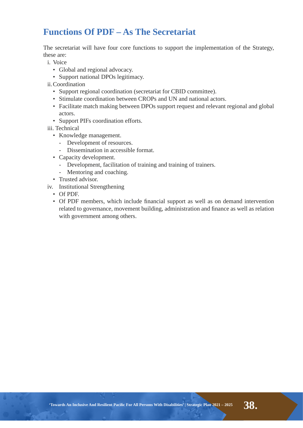## **Eunctions Of PDF - As The Secretariat**

The secretariat will have four core functions to support the implementation of the Strategy, these are:

- i. Voice
	- Global and regional advocacy.
	- Support national DPOs legitimacy.
- ii.Coordination
	- Support regional coordination (secretariat for CBID committee).
	- Stimulate coordination between CROPs and UN and national actors.
	- Facilitate match making between DPOs support request and relevant regional and global actors.
	- Support PIFs coordination efforts.
- iii. Technical
	- Knowledge management.
		- Development of resources.
		- Dissemination in accessible format.
	- Capacity development.
		- Development, facilitation of training and training of trainers.
		- Mentoring and coaching.
	- Trusted advisor.
- iv. Institutional Strengthening
	- Of PDF.
	- Of PDF members, which include financial support as well as on demand intervention related to governance, movement building, administration and finance as well as relation with government among others.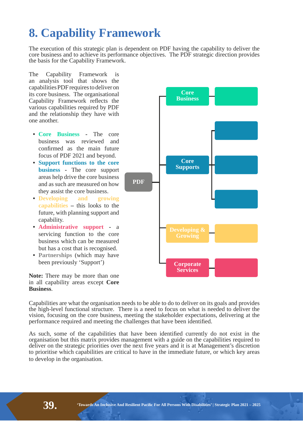## **8. Capability Framework**

The execution of this strategic plan is dependent on PDF having the capability to deliver the core business and to achieve its performance objectives. The PDF strategic direction provides the basis for the Capability Framework.

The Capability Framework is an analysis tool that shows the capabilities PDF requires to deliver on its core business. The organisational Capability Framework reflects the various capabilities required by PDF and the relationship they have with one another.

- **Core Business The core** business was reviewed and confirmed as the main future focus of PDF 2021 and beyond.
- **Support functions to the core business -** The core support areas help drive the core business and as such are measured on how they assist the core business.
- **Developing and growing capabilities** – this looks to the future, with planning support and capability.
- **• Administrative support -** a servicing function to the core business which can be measured but has a cost that is recognised.
- **• Partnerships** (which may have been previously 'Support')



**3') Core Supports Corporate Services**

Core **Business**

Capabilities are what the organisation needs to be able to do to deliver on its goals and provides the high-level functional structure. There is a need to focus on what is needed to deliver the vision, focusing on the core business, meeting the stakeholder expectations, delivering at the performance required and meeting the challenges that have been identified.

As such, some of the capabilities that have been identified currently do not exist in the organisation but this matrix provides management with a guide on the capabilities required to deliver on the strategic priorities over the next five years and it is at Management's discretion to prioritise which capabilities are critical to have in the immediate future, or which key areas to develop in the organisation.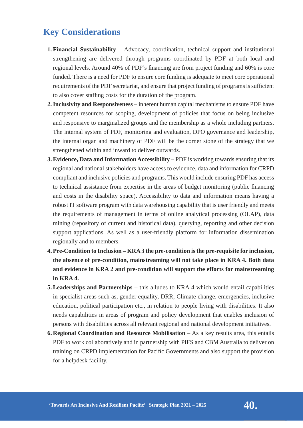### **Key Considerations**

- **1. Financial Sustainability** Advocacy, coordination, technical support and institutional strengthening are delivered through programs coordinated by PDF at both local and regional levels. Around 40% of PDF's financing are from project funding and 60% is core funded. There is a need for PDF to ensure core funding is adequate to meet core operational requirements of the PDF secretariat, and ensure that project funding of programs is sufficient to also cover staffing costs for the duration of the program.
- **2. Inclusivity and Responsiveness** inherent human capital mechanisms to ensure PDF have competent resources for scoping, development of policies that focus on being inclusive and responsive to marginalized groups and the membership as a whole including partners. The internal system of PDF, monitoring and evaluation, DPO governance and leadership, the internal organ and machinery of PDF will be the corner stone of the strategy that we strengthened within and inward to deliver outwards.
- **3. Evidence, Data and Information Accessibility PDF is working towards ensuring that its** regional and national stakeholders have access to evidence, data and information for CRPD compliant and inclusive policies and programs. This would include ensuring PDF has access to technical assistance from expertise in the areas of budget monitoring (public financing and costs in the disability space). Accessibility to data and information means having a robust IT software program with data warehousing capability that is user friendly and meets the requirements of management in terms of online analytical processing (OLAP), data mining (repository of current and historical data), querying, reporting and other decision support applications. As well as a user-friendly platform for information dissemination regionally and to members.
- **4. Pre-Condition to Inclusion KRA 3 the pre-condition is the pre-requisite for inclusion,** the absence of pre-condition, mainstreaming will not take place in KRA 4. Both data **and evidence in KRA 2 and pre-condition will support the efforts for mainstreaming in KRA 4.**
- **5. Leaderships and Partnerships** this alludes to KRA 4 which would entail capabilities in specialist areas such as, gender equality, DRR, Climate change, emergencies, inclusive education, political participation etc., in relation to people living with disabilities. It also needs capabilities in areas of program and policy development that enables inclusion of persons with disabilities across all relevant regional and national development initiatives.
- **6. Regional Coordination and Resource Mobilisation** As a key results area, this entails PDF to work collaboratively and in partnership with PIFS and CBM Australia to deliver on training on CRPD implementation for Pacific Governments and also support the provision for a helpdesk facility.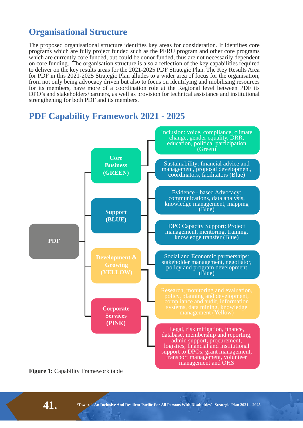### **Organisational Structure**

The proposed organisational structure identifies key areas for consideration. It identifies core programs which are fully project funded such as the PERU program and other core programs which are currently core funded, but could be donor funded, thus are not necessarily dependent on core funding. The organisation structure is also a reflection of the key capabilities required to deliver on the key results areas for the 2021-2025 PDF Strategic Plan. The Key Results Area for PDF in this 2021-2025 Strategic Plan alludes to a wider area of focus for the organisation, from not only being advocacy driven but also to focus on identifying and mobilising resources for its members, have more of a coordination role at the Regional level between PDF its DPO's and stakeholders/partners, as well as provision for technical assistance and institutional strengthening for both PDF and its members.



### **PDF Capability Framework 2021 - 2025**

**Figure 1: Capability Framework table**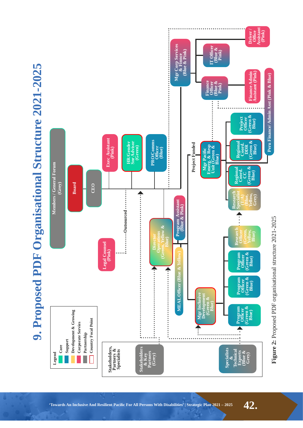

## **Towards An Inclusive And Resilient Pacific For All Persons With Disabilities' | Strategic Plan 2021 – 2025**  $\bf 42$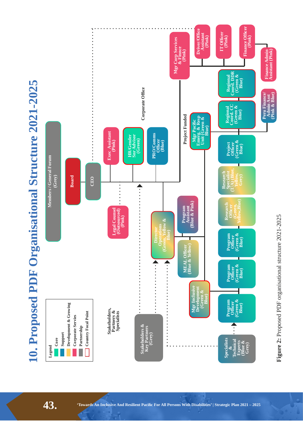

43. *Towards An Inclusive And Resilient Pacific For All Persons With Disabilities' | Strategic Plan 2021 – 2025*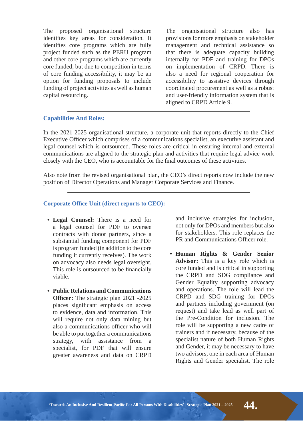The proposed organisational structure identifies key areas for consideration. It identifies core programs which are fully project funded such as the PERU program and other core programs which are currently core funded, but due to competition in terms of core funding accessibility, it may be an option for funding proposals to include funding of project activities as well as human capital resourcing.

The organisational structure also has provisions for more emphasis on stakeholder management and technical assistance so that there is adequate capacity building internally for PDF and training for DPOs on implementation of CRPD. There is also a need for regional cooperation for accessibility to assistive devices through coordinated procurement as well as a robust and user-friendly information system that is aligned to CRPD Article 9.

#### **Capabilities And Roles:**

In the 2021-2025 organisational structure, a corporate unit that reports directly to the Chief Executive Officer which comprises of a communications specialist, an executive assistant and legal counsel which is outsourced. These roles are critical in ensuring internal and external communications are aligned to the strategic plan and activities that require legal advice work closely with the CEO, who is accountable for the final outcomes of these activities.

Also note from the revised organisational plan, the CEO's direct reports now include the new position of Director Operations and Manager Corporate Services and Finance.

#### **Corporate Office Unit (direct reports to CEO):**

- Legal Counsel: There is a need for a legal counsel for PDF to oversee contracts with donor partners, since a substantial funding component for PDF is program funded (in addition to the core funding it currently receives). The work on advocacy also needs legal oversight. This role is outsourced to be financially viable.
- **Public Relations and Communications Officer:** The strategic plan 2021 -2025 places significant emphasis on access to evidence, data and information. This will require not only data mining but also a communications officer who will be able to put together a communications strategy, with assistance from a specialist, for PDF that will ensure greater awareness and data on CRPD

and inclusive strategies for inclusion, not only for DPOs and members but also for stakeholders. This role replaces the PR and Communications Officer role.

**• Human Rights & Gender Senior Advisor:** This is a key role which is core funded and is critical in supporting the CRPD and SDG compliance and Gender Equality supporting advocacy and operations. The role will lead the CRPD and SDG training for DPOs and partners including government (on request) and take lead as well part of the Pre-Condition for inclusion. The role will be supporting a new cadre of trainers and if necessary, because of the specialist nature of both Human Rights and Gender, it may be necessary to have two advisors, one in each area of Human Rights and Gender specialist. The role

"Towards An Inclusive And Resilient Pacific For All Persons With Disabilities' | Strategic Plan 2021 – 2025  $\bf{44}$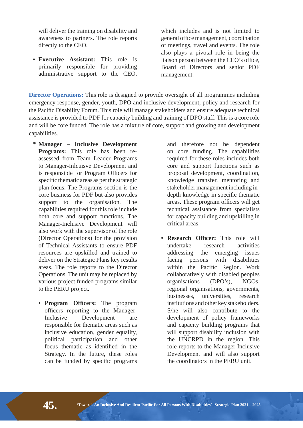will deliver the training on disability and awareness to partners. The role reports directly to the CEO.

**• Executive Assistant:** This role is primarily responsible for providing administrative support to the CEO,

which includes and is not limited to general office management, coordination of meetings, travel and events. The role also plays a pivotal role in being the liaison person between the CEO's office. Board of Directors and senior PDF management.

**Director Operations:** This role is designed to provide oversight of all programmes including emergency response, gender, youth, DPO and inclusive development, policy and research for the Pacific Disability Forum. This role will manage stakeholders and ensure adequate technical assistance is provided to PDF for capacity building and training of DPO staff. This is a core role and will be core funded. The role has a mixture of core, support and growing and development capabilities.

- **\*** Manager Inclusive Development **Programs:** This role has been reassessed from Team Leader Programs to Manager-Inlcuisve Development and is responsible for Program Officers for specific thematic areas as per the strategic plan focus. The Programs section is the core business for PDF but also provides support to the organisation. The capabilities required for this role include both core and support functions. The Manager-Inclusive Development will also work with the supervisor of the role (Director Operations) for the provision of Technical Assistants to ensure PDF resources are upskilled and trained to deliver on the Strategic Plans key results areas. The role reports to the Director Operations. The unit may be replaced by various project funded programs similar to the PERU project.
	- Program Officers: The program officers reporting to the Manager-Inclusive Development are responsible for thematic areas such as inclusive education, gender equality, political participation and other focus thematic as identified in the Strategy. In the future, these roles can be funded by specific programs

and therefore not be dependent on core funding. The capabilities required for these roles includes both core and support functions such as proposal development, coordination, knowledge transfer, mentoring and stakeholder management including indepth knowledge in specific thematic areas. These program officers will get technical assistance from specialists for capacity building and upskilling in critical areas.

• Research Officer: This role will undertake research activities addressing the emerging issues facing persons with disabilities within the Pacific Region. Work collaboratively with disabled peoples organisations (DPO's), NGOs, regional organisations, governments, businesses, universities, research institutions and other key stakeholders. S/he will also contribute to the development of policy frameworks and capacity building programs that will support disability inclusion with the UNCRPD in the region. This role reports to the Manager Inclusive Development and will also support the coordinators in the PERU unit.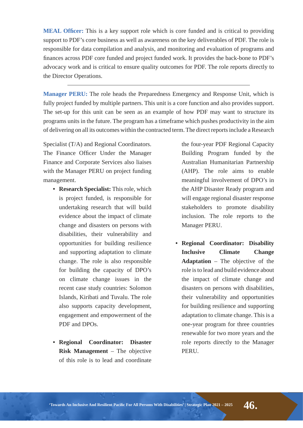**MEAL Officer:** This is a key support role which is core funded and is critical to providing support to PDF's core business as well as awareness on the key deliverables of PDF. The role is responsible for data compilation and analysis, and monitoring and evaluation of programs and finances across PDF core funded and project funded work. It provides the back-bone to PDF's advocacy work and is critical to ensure quality outcomes for PDF. The role reports directly to the Director Operations.

**Manager PERU:** The role heads the Preparedness Emergency and Response Unit, which is fully project funded by multiple partners. This unit is a core function and also provides support. The set-up for this unit can be seen as an example of how PDF may want to structure its programs units in the future. The program has a timeframe which pushes productivity in the aim of delivering on all its outcomes within the contracted term. The direct reports include a Research

Specialist (T/A) and Regional Coordinators. The Finance Officer Under the Manager Finance and Corporate Services also liaises with the Manager PERU on project funding management.

- **Research Specialist:** This role, which is project funded, is responsible for undertaking research that will build evidence about the impact of climate change and disasters on persons with disabilities, their vulnerability and opportunities for building resilience and supporting adaptation to climate change. The role is also responsible for building the capacity of DPO's on climate change issues in the recent case study countries: Solomon Islands, Kiribati and Tuvalu. The role also supports capacity development, engagement and empowerment of the PDF and DPOs.
- **Regional Coordinator: Disaster Risk Management** – The objective of this role is to lead and coordinate

the four-year PDF Regional Capacity Building Program funded by the Australian Humanitarian Partnership (AHP). The role aims to enable meaningful involvement of DPO's in the AHP Disaster Ready program and will engage regional disaster response stakeholders to promote disability inclusion. The role reports to the Manager PERU.

**• Regional Coordinator: Disability Inclusive Climate Change Adaptation** – The objective of the role is to lead and build evidence about the impact of climate change and disasters on persons with disabilities, their vulnerability and opportunities for building resilience and supporting adaptation to climate change. This is a one-year program for three countries renewable for two more years and the role reports directly to the Manager PERU.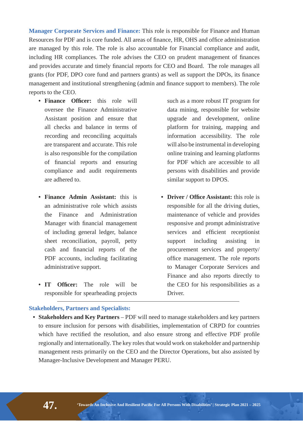**Manager Corporate Services and Finance: This role is responsible for Finance and Human** Resources for PDF and is core funded. All areas of finance, HR, OHS and office administration are managed by this role. The role is also accountable for Financial compliance and audit, including HR compliances. The role advises the CEO on prudent management of finances and provides accurate and timely financial reports for CEO and Board. The role manages all grants (for PDF, DPO core fund and partners grants) as well as support the DPOs, its finance management and institutional strengthening (admin and finance support to members). The role reports to the CEO.

- **Finance Officer:** this role will oversee the Finance Administrative Assistant position and ensure that all checks and balance in terms of recording and reconciling acquittals are transparent and accurate. This role is also responsible for the compilation of financial reports and ensuring compliance and audit requirements are adhered to.
- **Finance Admin Assistant:** this is an administrative role which assists the Finance and Administration Manager with financial management of including general ledger, balance sheet reconciliation, payroll, petty cash and financial reports of the PDF accounts, including facilitating administrative support.
- **IT Officer:** The role will be responsible for spearheading projects

such as a more robust IT program for data mining, responsible for website upgrade and development, online platform for training, mapping and information accessibility. The role will also be instrumental in developing online training and learning platforms for PDF which are accessible to all persons with disabilities and provide similar support to DPOS.

**• Driver / Office Assistant: this role is** responsible for all the driving duties, maintenance of vehicle and provides responsive and prompt administrative services and efficient receptionist support including assisting in procurement services and property/ office management. The role reports to Manager Corporate Services and Finance and also reports directly to the CEO for his responsibilities as a Driver.

#### **Stakeholders, Partners and Specialists:**

• Stakeholders and Key Partners – PDF will need to manage stakeholders and key partners to ensure inclusion for persons with disabilities, implementation of CRPD for countries which have rectified the resolution, and also ensure strong and effective PDF profile regionally and internationally. The key roles that would work on stakeholder and partnership management rests primarily on the CEO and the Director Operations, but also assisted by Manager-Inclusive Development and Manager PERU.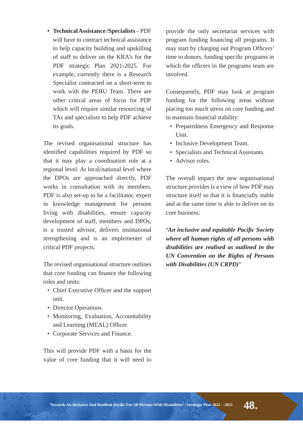**• Technical Assistance /Specialists** – PDF will have to contract technical assistance to help capacity building and upskilling of staff to deliver on the KRA's for the PDF strategic Plan 2021-2025. For example, currently there is a Research Specialist contracted on a short-term to work with the PERU Team. There are other critical areas of focus for PDF which will require similar resourcing of TAs and specialists to help PDF achieve its goals.

The revised organisational structure has identified capabilities required by PDF so that it may play a coordination role at a regional level. At local/national level where the DPOs are approached directly, PDF works in consultation with its members. PDF is also set-up to be a facilitator, expert in knowledge management for persons living with disabilities, ensure capacity development of staff, members and DPOs, is a trusted advisor, delivers institutional strengthening and is an implementer of critical PDF projects.

The revised organisational structure outlines that core funding can finance the following roles and units:

- Chief Executive Officer and the support unit.
- Director Operations.
- Monitoring, Evaluation, Accountability and Learning (MEAL) Officer.
- Corporate Services and Finance.

This will provide PDF with a basis for the value of core funding that it will need to provide the only secretariat services with program funding financing all programs. It may start by charging out Program Officers' time to donors, funding specific programs in which the officers in the programs team are involved.

Consequently, PDF may look at program funding for the following areas without placing too much stress on core funding and to maintain financial stability:

- Preparedness Emergency and Response Unit.
- Inclusive Development Team.
- Specialists and Technical Assistants.
- Advisor roles.

The overall impact the new organisational structure provides is a view of how PDF may structure itself so that it is financially stable and at the same time is able to deliver on its core business:

*'An inclusive and equitable Pacific Society where all human rights of all persons with disabilities are realised as outlined in the UN Convention on the Rights of Persons with Disabilities (UN CRPD)'* 

"Towards An Inclusive And Resilient Pacific For All Persons With Disabilities' | Strategic Plan 2021 – 2025  $\bf 48$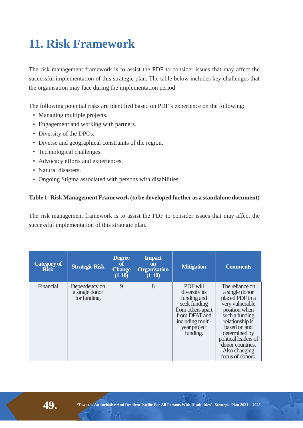# **11. Risk Framework**

The risk management framework is to assist the PDF to consider issues that may affect the successful implementation of this strategic plan. The table below includes key challenges that the organisation may face during the implementation period:

The following potential risks are identified based on PDF's experience on the following:

- Managing multiple projects.
- Engagement and working with partners.
- Diversity of the DPOs.
- Diverse and geographical constraints of the region.
- Technological challenges.
- Advocacy efforts and experiences.
- Natural disasters.
- Ongoing Stigma associated with persons with disabilities.

#### Table 1- Risk Management Framework (to be developed further as a standalone document)

The risk management framework is to assist the PDF to consider issues that may affect the successful implementation of this strategic plan.

| <b>Category of</b><br><b>Risk</b> | <b>Strategic Risk</b>                           | <b>Degree</b><br>of<br><b>Change</b><br>$(1-10)$ | <b>Impact</b><br><b>on</b><br><b>Organisation</b><br>$(1-10)$ | <b>Mitigation</b>                                                                                                                              | <b>Comments</b>                                                                                                                                                                                                                                 |
|-----------------------------------|-------------------------------------------------|--------------------------------------------------|---------------------------------------------------------------|------------------------------------------------------------------------------------------------------------------------------------------------|-------------------------------------------------------------------------------------------------------------------------------------------------------------------------------------------------------------------------------------------------|
| Financial                         | Dependency on<br>a single donor<br>for funding. | 9                                                | 8                                                             | PDF will<br>diversify its<br>funding and<br>seek funding<br>from others apart<br>from DFAT and<br>including multi-<br>year project<br>funding. | The reliance on<br>a single donor<br>placed PDF in a<br>very vulnerable<br>position when<br>such a funding<br>relationship is<br>based on and<br>determined by<br>political leaders of<br>donor countries.<br>Also changing<br>focus of donors. |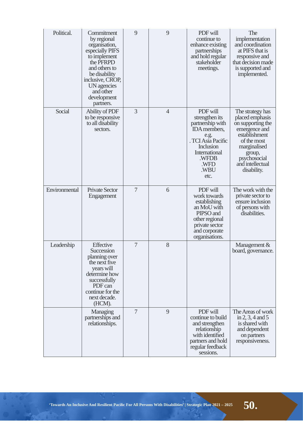| Political.    | Commitment<br>by regional<br>organisation,<br>especially PIFS<br>to implement<br>the PFRPD<br>and others to<br>be disability<br>inclusive, CROP,<br>UN agencies<br>and other<br>development<br>partners. | 9 | 9              | PDF will<br>continue to<br>enhance existing<br>partnerships<br>and hold regular<br>stakeholder<br>meetings.                                                               | The<br>implementation<br>and coordination<br>at PIFS that is<br>responsive and<br>that decision made<br>is supported and<br>implemented.                                               |
|---------------|----------------------------------------------------------------------------------------------------------------------------------------------------------------------------------------------------------|---|----------------|---------------------------------------------------------------------------------------------------------------------------------------------------------------------------|----------------------------------------------------------------------------------------------------------------------------------------------------------------------------------------|
| Social        | <b>Ability of PDF</b><br>to be responsive<br>to all disability<br>sectors.                                                                                                                               | 3 | $\overline{4}$ | PDF will<br>strengthen its<br>partnership with<br><b>IDA</b> members,<br>e.g.<br>. TCI Asia Pacific<br><b>Inclusion</b><br>International<br>.WFDB<br>.WFD<br>.WBU<br>etc. | The strategy has<br>placed emphasis<br>on supporting the<br>emergence and<br>establishment<br>of the most<br>marginalised<br>group,<br>psychosocial<br>and intellectual<br>disability. |
| Environmental | <b>Private Sector</b><br>Engagement                                                                                                                                                                      | 7 | 6              | PDF will<br>work towards<br>establishing<br>an MoU with<br>PIPSO and<br>other regional<br>private sector<br>and corporate<br>organisations.                               | The work with the<br>private sector to<br>ensure inclusion<br>of persons with<br>disabilities.                                                                                         |
| Leadership    | Effective<br>Succession<br>planning over<br>the next five<br>years will<br>determine how<br>successfully<br>PDF can<br>continue for the<br>next decade.<br>(HCM).                                        | 7 | 8              |                                                                                                                                                                           | Management &<br>board, governance.                                                                                                                                                     |
|               | Managing<br>partnerships and<br>relationships.                                                                                                                                                           | 7 | 9              | PDF will<br>continue to build<br>and strengthen<br>relationship<br>with identified<br>partners and hold<br>regular feedback<br>sessions.                                  | The Areas of work<br>in 2, 3, 4 and 5<br>is shared with<br>and dependent<br>on partners<br>responsiveness.                                                                             |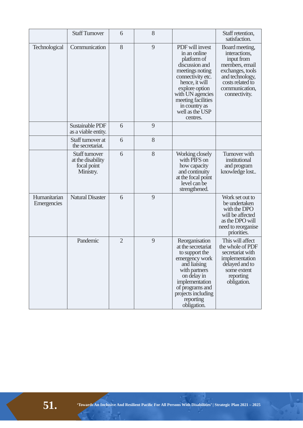|                             | <b>Staff Turnover</b>                                           | 6              | 8 |                                                                                                                                                                                                                                        | Staff retention,<br>satisfaction.                                                                                                                             |
|-----------------------------|-----------------------------------------------------------------|----------------|---|----------------------------------------------------------------------------------------------------------------------------------------------------------------------------------------------------------------------------------------|---------------------------------------------------------------------------------------------------------------------------------------------------------------|
| Technological               | Communication                                                   | 8              | 9 | PDF will invest<br>in an online<br>platform of<br>discussion and<br>meetings noting<br>connectivity etc.<br>hence, it will<br>explore option<br>with UN agencies<br>meeting facilities<br>in country as<br>well as the USP<br>centres. | Board meeting,<br>interactions,<br>input from<br>members, email<br>exchanges, tools<br>and technology,<br>costs related to<br>communication,<br>connectivity. |
|                             | Sustainable PDF<br>as a viable entity.                          | 6              | 9 |                                                                                                                                                                                                                                        |                                                                                                                                                               |
|                             | Staff turnover at<br>the secretariat.                           | 6              | 8 |                                                                                                                                                                                                                                        |                                                                                                                                                               |
|                             | Staff turnover<br>at the disability<br>focal point<br>Ministry. | 6              | 8 | Working closely<br>with PIFS on<br>how capacity<br>and continuity<br>at the focal point<br>level can be<br>strengthened.                                                                                                               | Turnover with<br>institutional<br>and program<br>knowledge lost                                                                                               |
| Humanitarian<br>Emergencies | <b>Natural Disaster</b>                                         | 6              | 9 |                                                                                                                                                                                                                                        | Work set out to<br>be undertaken<br>with the DPO<br>will be affected<br>as the DPO will<br>need to reorganise<br>priorities.                                  |
|                             | Pandemic                                                        | $\overline{2}$ | 9 | Reorganisation<br>at the secretariat<br>to support the<br>emergency work<br>and liaising<br>with partners<br>on delay in<br>implementation<br>of programs and<br>projects including<br>reporting<br>obligation.                        | This will affect<br>the whole of PDF<br>secretariat with<br>implementation<br>delayed and to<br>some extent<br>reporting<br>obligation.                       |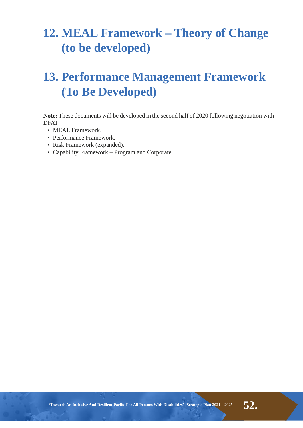## **12. MEAL Framework - Theory of Change** (to be developed)

## **13. Performance Management Framework (To Be Developed)**

Note: These documents will be developed in the second half of 2020 following negotiation with DFAT

- MEAL Framework.
- Performance Framework.
- Risk Framework (expanded).
- Capability Framework Program and Corporate.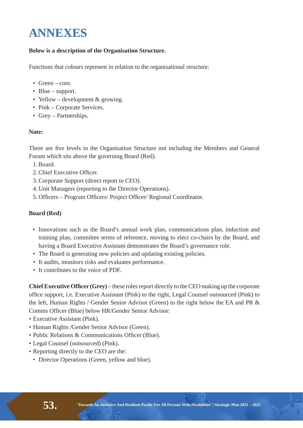## **ANNEXES**

#### **Below is a description of the Organisation Structure.**

Functions that colours represent in relation to the organisational structure:

- $\cdot$  Green core.
- Blue support.
- Yellow development & growing.
- Pink Corporate Services.
- Grey Partnerships.

#### Note:

There are five levels in the Organisation Structure not including the Members and General Forum which sits above the governing Board (Red).

- 1. Board.
- 2. Chief Executive Officer.
- 3. Corporate Support (direct report to CEO).
- 4. Unit Managers (reporting to the Director Operations).
- 5. Officers Program Officers/ Project Officer/ Regional Coordinator.

#### **Board** (Red)

- Innovations such as the Board's annual work plan, communications plan, induction and training plan, committee terms of reference, moving to elect co-chairs by the Board, and having a Board Executive Assistant demonstrates the Board's governance role.
- The Board is generating new policies and updating existing policies.
- It audits, monitors risks and evaluates performance.
- It contributes to the voice of PDF.

**Chief Executive Officer (Grey) – these roles report directly to the CEO making up the corporate** office support, i.e. Executive Assistant (Pink) to the right, Legal Counsel outsourced (Pink) to the left, Human Rights / Gender Senior Advisor (Green) to the right below the EA and PR & Comms Officer (Blue) below HR/Gender Senior Advisor:

- Executive Assistant (Pink).
- Human Rights /Gender Senior Advisor (Green).
- Public Relations & Communications Officer (Blue).
- Legal Counsel (outsourced) (Pink).
- Reporting directly to the CEO are the:
	- Director Operations (Green, yellow and blue).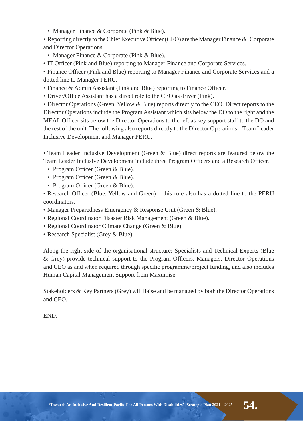• Manager Finance & Corporate (Pink & Blue).

• Reporting directly to the Chief Executive Officer (CEO) are the Manager Finance & Corporate and Director Operations.

- Manager Finance & Corporate (Pink & Blue).
- IT Officer (Pink and Blue) reporting to Manager Finance and Corporate Services.

• Finance Officer (Pink and Blue) reporting to Manager Finance and Corporate Services and a dotted line to Manager PERU.

- Finance & Admin Assistant (Pink and Blue) reporting to Finance Officer.
- Driver/Office Assistant has a direct role to the CEO as driver (Pink).

• Director Operations (Green, Yellow & Blue) reports directly to the CEO. Direct reports to the Director Operations include the Program Assistant which sits below the DO to the right and the MEAL Officer sits below the Director Operations to the left as key support staff to the DO and the rest of the unit. The following also reports directly to the Director Operations – Team Leader Inclusive Development and Manager PERU.

• Team Leader Inclusive Development (Green & Blue) direct reports are featured below the Team Leader Inclusive Development include three Program Officers and a Research Officer.

- Program Officer (Green & Blue).
- Program Officer (Green & Blue).
- Program Officer (Green & Blue).

• Research Officer (Blue, Yellow and Green) – this role also has a dotted line to the PERU coordinators.

- Manager Preparedness Emergency & Response Unit (Green & Blue).
- Regional Coordinator Disaster Risk Management (Green & Blue).
- Regional Coordinator Climate Change (Green & Blue).
- Research Specialist (Grey & Blue).

Along the right side of the organisational structure: Specialists and Technical Experts (Blue & Grey) provide technical support to the Program Officers, Managers, Director Operations and CEO as and when required through specific programme/project funding, and also includes Human Capital Management Support from Maxumise.

Stakeholders & Key Partners (Grey) will liaise and be managed by both the Director Operations and CEO.

END.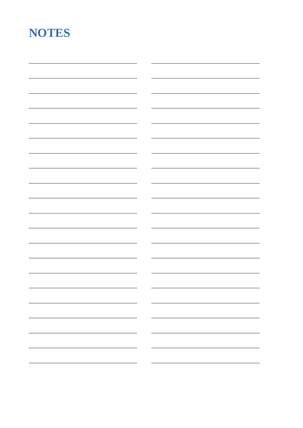## NOTES

| $\overline{\phantom{0}}$ |
|--------------------------|
|                          |
|                          |
|                          |
|                          |
|                          |
|                          |
|                          |
|                          |
|                          |
|                          |
|                          |
|                          |
|                          |
|                          |
|                          |
|                          |
|                          |
|                          |
|                          |
|                          |
|                          |
|                          |
|                          |
|                          |
|                          |
|                          |
|                          |
|                          |
|                          |
|                          |
|                          |
|                          |
|                          |
|                          |
|                          |
|                          |
|                          |
|                          |
|                          |
|                          |
|                          |
|                          |
|                          |
|                          |
|                          |
|                          |
|                          |
|                          |
|                          |
|                          |
|                          |
|                          |
|                          |
|                          |
|                          |
|                          |
|                          |
|                          |
|                          |
|                          |
|                          |
|                          |
|                          |
|                          |
|                          |
|                          |
|                          |
|                          |
|                          |
|                          |
|                          |
|                          |
|                          |
|                          |
|                          |
|                          |
|                          |
|                          |
|                          |
|                          |
|                          |
|                          |
|                          |
|                          |
|                          |
|                          |
|                          |
|                          |
|                          |
|                          |
|                          |
|                          |
|                          |
|                          |
|                          |
|                          |
|                          |
|                          |
|                          |
|                          |
|                          |
|                          |
|                          |
|                          |
|                          |
|                          |
|                          |
|                          |
|                          |
|                          |
|                          |
|                          |
|                          |
| $\sim$                   |
|                          |
|                          |
|                          |
|                          |
|                          |
|                          |
| $\sim$                   |
|                          |
|                          |
|                          |
|                          |
|                          |
|                          |
| $\overline{\phantom{0}}$ |
|                          |
|                          |
|                          |
|                          |
|                          |
|                          |
|                          |
|                          |